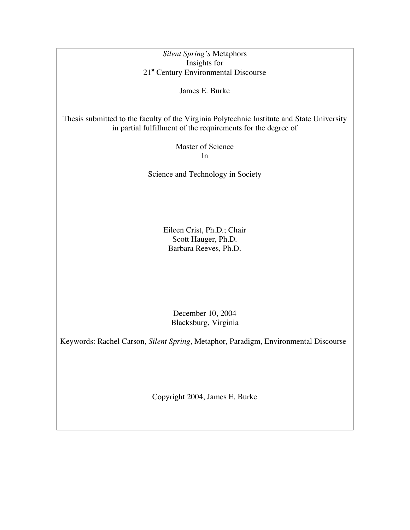*Silent Spring's* Metaphors Insights for 21<sup>st</sup> Century Environmental Discourse

James E. Burke

Thesis submitted to the faculty of the Virginia Polytechnic Institute and State University in partial fulfillment of the requirements for the degree of

> Master of Science In

Science and Technology in Society

Eileen Crist, Ph.D.; Chair Scott Hauger, Ph.D. Barbara Reeves, Ph.D.

December 10, 2004 Blacksburg, Virginia

Keywords: Rachel Carson, *Silent Spring*, Metaphor, Paradigm, Environmental Discourse

Copyright 2004, James E. Burke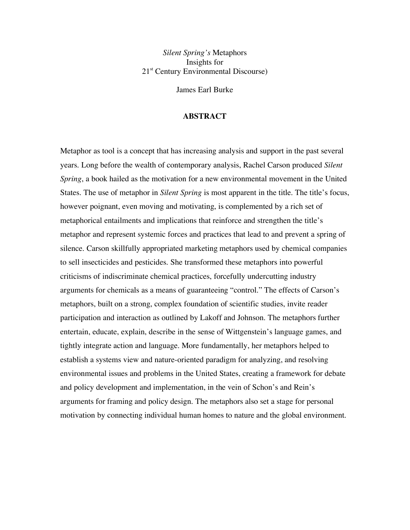*Silent Spring's* Metaphors Insights for 21<sup>st</sup> Century Environmental Discourse)

James Earl Burke

#### **ABSTRACT**

Metaphor as tool is a concept that has increasing analysis and support in the past several years. Long before the wealth of contemporary analysis, Rachel Carson produced *Silent Spring*, a book hailed as the motivation for a new environmental movement in the United States. The use of metaphor in *Silent Spring* is most apparent in the title. The title's focus, however poignant, even moving and motivating, is complemented by a rich set of metaphorical entailments and implications that reinforce and strengthen the title's metaphor and represent systemic forces and practices that lead to and prevent a spring of silence. Carson skillfully appropriated marketing metaphors used by chemical companies to sell insecticides and pesticides. She transformed these metaphors into powerful criticisms of indiscriminate chemical practices, forcefully undercutting industry arguments for chemicals as a means of guaranteeing "control." The effects of Carson's metaphors, built on a strong, complex foundation of scientific studies, invite reader participation and interaction as outlined by Lakoff and Johnson. The metaphors further entertain, educate, explain, describe in the sense of Wittgenstein's language games, and tightly integrate action and language. More fundamentally, her metaphors helped to establish a systems view and nature-oriented paradigm for analyzing, and resolving environmental issues and problems in the United States, creating a framework for debate and policy development and implementation, in the vein of Schon's and Rein's arguments for framing and policy design. The metaphors also set a stage for personal motivation by connecting individual human homes to nature and the global environment.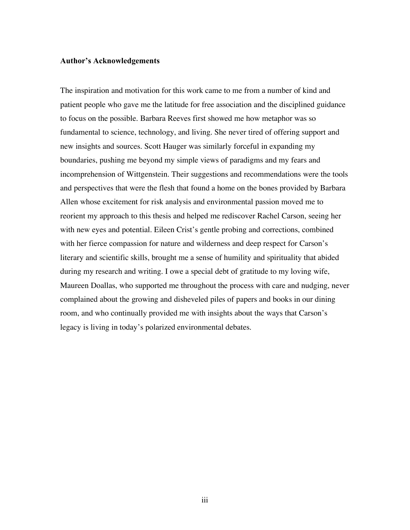#### **Author's Acknowledgements**

The inspiration and motivation for this work came to me from a number of kind and patient people who gave me the latitude for free association and the disciplined guidance to focus on the possible. Barbara Reeves first showed me how metaphor was so fundamental to science, technology, and living. She never tired of offering support and new insights and sources. Scott Hauger was similarly forceful in expanding my boundaries, pushing me beyond my simple views of paradigms and my fears and incomprehension of Wittgenstein. Their suggestions and recommendations were the tools and perspectives that were the flesh that found a home on the bones provided by Barbara Allen whose excitement for risk analysis and environmental passion moved me to reorient my approach to this thesis and helped me rediscover Rachel Carson, seeing her with new eyes and potential. Eileen Crist's gentle probing and corrections, combined with her fierce compassion for nature and wilderness and deep respect for Carson's literary and scientific skills, brought me a sense of humility and spirituality that abided during my research and writing. I owe a special debt of gratitude to my loving wife, Maureen Doallas, who supported me throughout the process with care and nudging, never complained about the growing and disheveled piles of papers and books in our dining room, and who continually provided me with insights about the ways that Carson's legacy is living in today's polarized environmental debates.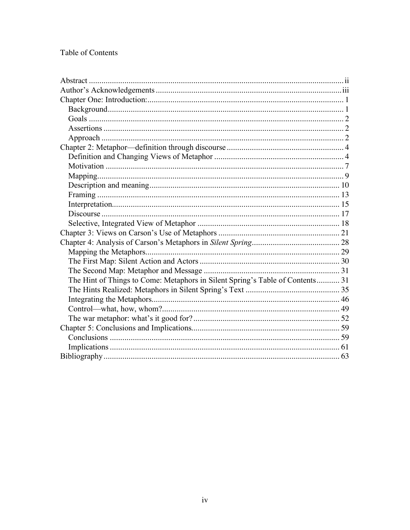# Table of Contents

| The Hint of Things to Come: Metaphors in Silent Spring's Table of Contents 31 |  |  |  |
|-------------------------------------------------------------------------------|--|--|--|
|                                                                               |  |  |  |
|                                                                               |  |  |  |
|                                                                               |  |  |  |
|                                                                               |  |  |  |
|                                                                               |  |  |  |
|                                                                               |  |  |  |
|                                                                               |  |  |  |
|                                                                               |  |  |  |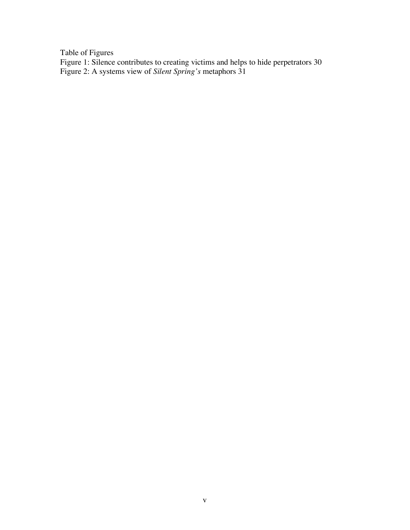Table of Figures

Figure 1: Silence contributes to creating victims and helps to hide perpetrators 30 Figure 2: A systems view of *Silent Spring's* metaphors 31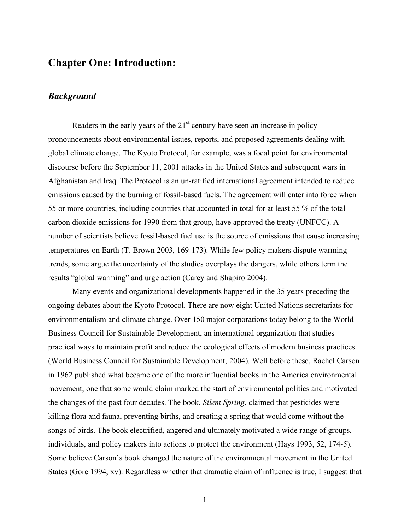# **Chapter One: Introduction:**

### *Background*

Readers in the early years of the  $21<sup>st</sup>$  century have seen an increase in policy pronouncements about environmental issues, reports, and proposed agreements dealing with global climate change. The Kyoto Protocol, for example, was a focal point for environmental discourse before the September 11, 2001 attacks in the United States and subsequent wars in Afghanistan and Iraq. The Protocol is an un-ratified international agreement intended to reduce emissions caused by the burning of fossil-based fuels. The agreement will enter into force when 55 or more countries, including countries that accounted in total for at least 55 % of the total carbon dioxide emissions for 1990 from that group, have approved the treaty (UNFCC). A number of scientists believe fossil-based fuel use is the source of emissions that cause increasing temperatures on Earth (T. Brown 2003, 169-173). While few policy makers dispute warming trends, some argue the uncertainty of the studies overplays the dangers, while others term the results "global warming" and urge action (Carey and Shapiro 2004).

Many events and organizational developments happened in the 35 years preceding the ongoing debates about the Kyoto Protocol. There are now eight United Nations secretariats for environmentalism and climate change. Over 150 major corporations today belong to the World Business Council for Sustainable Development, an international organization that studies practical ways to maintain profit and reduce the ecological effects of modern business practices (World Business Council for Sustainable Development, 2004). Well before these, Rachel Carson in 1962 published what became one of the more influential books in the America environmental movement, one that some would claim marked the start of environmental politics and motivated the changes of the past four decades. The book, *Silent Spring*, claimed that pesticides were killing flora and fauna, preventing births, and creating a spring that would come without the songs of birds. The book electrified, angered and ultimately motivated a wide range of groups, individuals, and policy makers into actions to protect the environment (Hays 1993, 52, 174-5). Some believe Carson's book changed the nature of the environmental movement in the United States (Gore 1994, xv). Regardless whether that dramatic claim of influence is true, I suggest that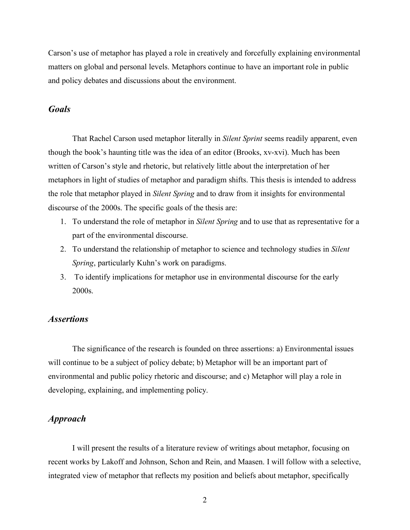Carson's use of metaphor has played a role in creatively and forcefully explaining environmental matters on global and personal levels. Metaphors continue to have an important role in public and policy debates and discussions about the environment.

### *Goals*

That Rachel Carson used metaphor literally in *Silent Sprint* seems readily apparent, even though the book's haunting title was the idea of an editor (Brooks, xv-xvi). Much has been written of Carson's style and rhetoric, but relatively little about the interpretation of her metaphors in light of studies of metaphor and paradigm shifts. This thesis is intended to address the role that metaphor played in *Silent Spring* and to draw from it insights for environmental discourse of the 2000s. The specific goals of the thesis are:

- 1. To understand the role of metaphor in *Silent Spring* and to use that as representative for a part of the environmental discourse.
- 2. To understand the relationship of metaphor to science and technology studies in *Silent Spring*, particularly Kuhn's work on paradigms.
- 3. To identify implications for metaphor use in environmental discourse for the early 2000s.

## *Assertions*

The significance of the research is founded on three assertions: a) Environmental issues will continue to be a subject of policy debate; b) Metaphor will be an important part of environmental and public policy rhetoric and discourse; and c) Metaphor will play a role in developing, explaining, and implementing policy.

### *Approach*

I will present the results of a literature review of writings about metaphor, focusing on recent works by Lakoff and Johnson, Schon and Rein, and Maasen. I will follow with a selective, integrated view of metaphor that reflects my position and beliefs about metaphor, specifically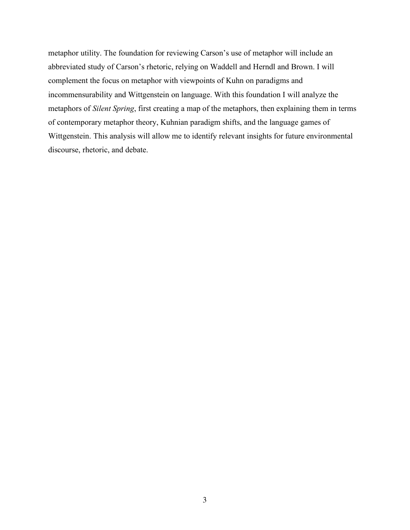metaphor utility. The foundation for reviewing Carson's use of metaphor will include an abbreviated study of Carson's rhetoric, relying on Waddell and Herndl and Brown. I will complement the focus on metaphor with viewpoints of Kuhn on paradigms and incommensurability and Wittgenstein on language. With this foundation I will analyze the metaphors of *Silent Spring*, first creating a map of the metaphors, then explaining them in terms of contemporary metaphor theory, Kuhnian paradigm shifts, and the language games of Wittgenstein. This analysis will allow me to identify relevant insights for future environmental discourse, rhetoric, and debate.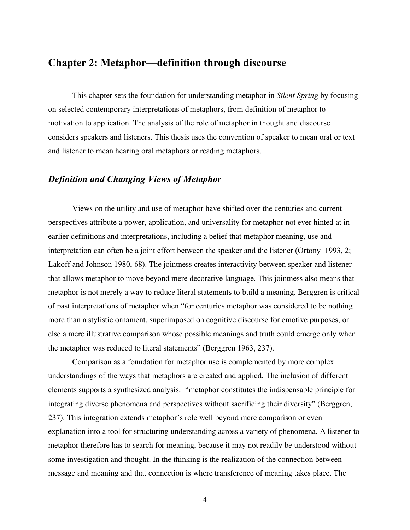## **Chapter 2: Metaphor—definition through discourse**

This chapter sets the foundation for understanding metaphor in *Silent Spring* by focusing on selected contemporary interpretations of metaphors, from definition of metaphor to motivation to application. The analysis of the role of metaphor in thought and discourse considers speakers and listeners. This thesis uses the convention of speaker to mean oral or text and listener to mean hearing oral metaphors or reading metaphors.

## *Definition and Changing Views of Metaphor*

Views on the utility and use of metaphor have shifted over the centuries and current perspectives attribute a power, application, and universality for metaphor not ever hinted at in earlier definitions and interpretations, including a belief that metaphor meaning, use and interpretation can often be a joint effort between the speaker and the listener (Ortony 1993, 2; Lakoff and Johnson 1980, 68). The jointness creates interactivity between speaker and listener that allows metaphor to move beyond mere decorative language. This jointness also means that metaphor is not merely a way to reduce literal statements to build a meaning. Berggren is critical of past interpretations of metaphor when "for centuries metaphor was considered to be nothing more than a stylistic ornament, superimposed on cognitive discourse for emotive purposes, or else a mere illustrative comparison whose possible meanings and truth could emerge only when the metaphor was reduced to literal statements" (Berggren 1963, 237).

Comparison as a foundation for metaphor use is complemented by more complex understandings of the ways that metaphors are created and applied. The inclusion of different elements supports a synthesized analysis: "metaphor constitutes the indispensable principle for integrating diverse phenomena and perspectives without sacrificing their diversity" (Berggren, 237). This integration extends metaphor's role well beyond mere comparison or even explanation into a tool for structuring understanding across a variety of phenomena. A listener to metaphor therefore has to search for meaning, because it may not readily be understood without some investigation and thought. In the thinking is the realization of the connection between message and meaning and that connection is where transference of meaning takes place. The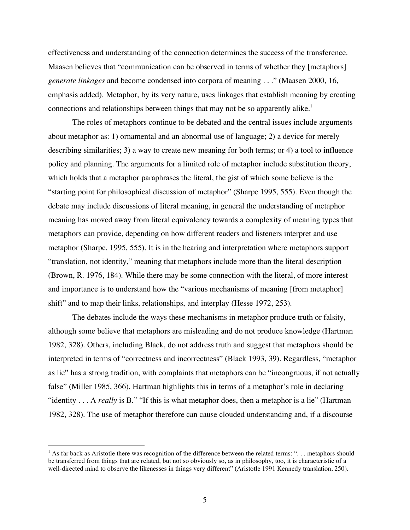effectiveness and understanding of the connection determines the success of the transference. Maasen believes that "communication can be observed in terms of whether they [metaphors] *generate linkages* and become condensed into corpora of meaning . . ." (Maasen 2000, 16, emphasis added). Metaphor, by its very nature, uses linkages that establish meaning by creating connections and relationships between things that may not be so apparently alike. 1

The roles of metaphors continue to be debated and the central issues include arguments about metaphor as: 1) ornamental and an abnormal use of language; 2) a device for merely describing similarities; 3) a way to create new meaning for both terms; or 4) a tool to influence policy and planning. The arguments for a limited role of metaphor include substitution theory, which holds that a metaphor paraphrases the literal, the gist of which some believe is the "starting point for philosophical discussion of metaphor" (Sharpe 1995, 555). Even though the debate may include discussions of literal meaning, in general the understanding of metaphor meaning has moved away from literal equivalency towards a complexity of meaning types that metaphors can provide, depending on how different readers and listeners interpret and use metaphor (Sharpe, 1995, 555). It is in the hearing and interpretation where metaphors support "translation, not identity," meaning that metaphors include more than the literal description (Brown, R. 1976, 184). While there may be some connection with the literal, of more interest and importance is to understand how the "various mechanisms of meaning [from metaphor] shift" and to map their links, relationships, and interplay (Hesse 1972, 253).

The debates include the ways these mechanisms in metaphor produce truth or falsity, although some believe that metaphors are misleading and do not produce knowledge (Hartman 1982, 328). Others, including Black, do not address truth and suggest that metaphors should be interpreted in terms of "correctness and incorrectness" (Black 1993, 39). Regardless, "metaphor as lie" has a strong tradition, with complaints that metaphors can be "incongruous, if not actually false" (Miller 1985, 366). Hartman highlights this in terms of a metaphor's role in declaring "identity . . . A *really* is B." "If this is what metaphor does, then a metaphor is a lie" (Hartman 1982, 328). The use of metaphor therefore can cause clouded understanding and, if a discourse

<sup>&</sup>lt;sup>1</sup> As far back as Aristotle there was recognition of the difference between the related terms: "... metaphors should be transferred from things that are related, but not so obviously so, as in philosophy, too, it is characteristic of a well-directed mind to observe the likenesses in things very different" (Aristotle 1991 Kennedy translation, 250).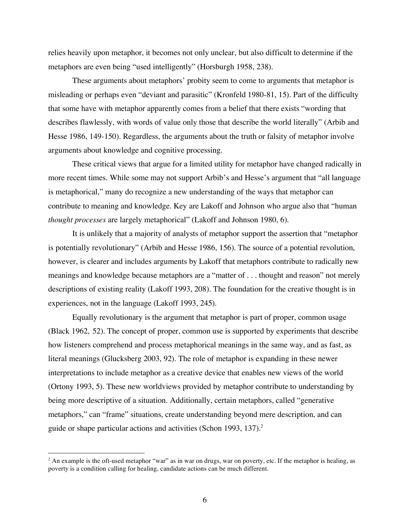relies heavily upon metaphor, it becomes not only unclear, but also difficult to determine if the metaphors are even being "used intelligently" (Horsburgh 1958, 238).

These arguments about metaphors' probity seem to come to arguments that metaphor is misleading or perhaps even "deviant and parasitic" (Kronfeld 1980-81, 15). Part of the difficulty that some have with metaphor apparently comes from a belief that there exists "wording that describes flawlessly, with words of value only those that describe the world literally" (Arbib and Hesse 1986, 149-150). Regardless, the arguments about the truth or falsity of metaphor involve arguments about knowledge and cognitive processing.

These critical views that argue for a limited utility for metaphor have changed radically in more recent times. While some may not support Arbib's and Hesse's argument that "all language is metaphorical," many do recognize a new understanding of the ways that metaphor can contribute to meaning and knowledge. Key are Lakoff and Johnson who argue also that "human *thought processes* are largely metaphorical" (Lakoff and Johnson 1980, 6).

It is unlikely that a majority of analysts of metaphor support the assertion that "metaphor is potentially revolutionary" (Arbib and Hesse 1986, 156). The source of a potential revolution, however, is clearer and includes arguments by Lakoff that metaphors contribute to radically new meanings and knowledge because metaphors are a "matter of . . . thought and reason" not merely descriptions of existing reality (Lakoff 1993, 208). The foundation for the creative thought is in experiences, not in the language (Lakoff 1993, 245).

Equally revolutionary is the argument that metaphor is part of proper, common usage (Black 1962, 52). The concept of proper, common use is supported by experiments that describe how listeners comprehend and process metaphorical meanings in the same way, and as fast, as literal meanings (Glucksberg 2003, 92). The role of metaphor is expanding in these newer interpretations to include metaphor as a creative device that enables new views of the world (Ortony 1993, 5). These new worldviews provided by metaphor contribute to understanding by being more descriptive of a situation. Additionally, certain metaphors, called "generative metaphors," can "frame" situations, create understanding beyond mere description, and can guide or shape particular actions and activities (Schon 1993, 137).<sup>2</sup>

<sup>&</sup>lt;sup>2</sup> An example is the oft-used metaphor "war" as in war on drugs, war on poverty, etc. If the metaphor is healing, as poverty is a condition calling for healing, candidate actions can be much different.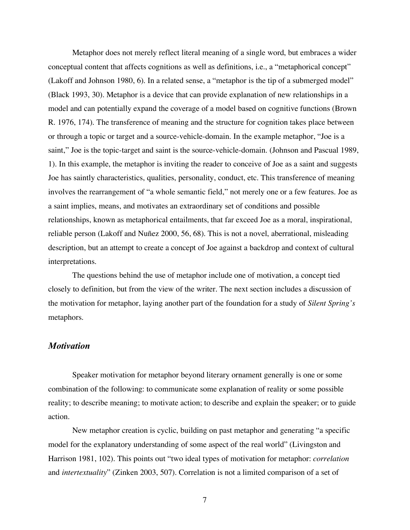Metaphor does not merely reflect literal meaning of a single word, but embraces a wider conceptual content that affects cognitions as well as definitions, i.e., a "metaphorical concept" (Lakoff and Johnson 1980, 6). In a related sense, a "metaphor is the tip of a submerged model" (Black 1993, 30). Metaphor is a device that can provide explanation of new relationships in a model and can potentially expand the coverage of a model based on cognitive functions (Brown R. 1976, 174). The transference of meaning and the structure for cognition takes place between or through a topic or target and a source-vehicle-domain. In the example metaphor, "Joe is a saint," Joe is the topic-target and saint is the source-vehicle-domain. (Johnson and Pascual 1989, 1). In this example, the metaphor is inviting the reader to conceive of Joe as a saint and suggests Joe has saintly characteristics, qualities, personality, conduct, etc. This transference of meaning involves the rearrangement of "a whole semantic field," not merely one or a few features. Joe as a saint implies, means, and motivates an extraordinary set of conditions and possible relationships, known as metaphorical entailments, that far exceed Joe as a moral, inspirational, reliable person (Lakoff and Nuñez 2000, 56, 68). This is not a novel, aberrational, misleading description, but an attempt to create a concept of Joe against a backdrop and context of cultural interpretations.

The questions behind the use of metaphor include one of motivation, a concept tied closely to definition, but from the view of the writer. The next section includes a discussion of the motivation for metaphor, laying another part of the foundation for a study of *Silent Spring's* metaphors.

#### *Motivation*

Speaker motivation for metaphor beyond literary ornament generally is one or some combination of the following: to communicate some explanation of reality or some possible reality; to describe meaning; to motivate action; to describe and explain the speaker; or to guide action.

New metaphor creation is cyclic, building on past metaphor and generating "a specific model for the explanatory understanding of some aspect of the real world" (Livingston and Harrison 1981, 102). This points out "two ideal types of motivation for metaphor: *correlation* and *intertextuality*" (Zinken 2003, 507). Correlation is not a limited comparison of a set of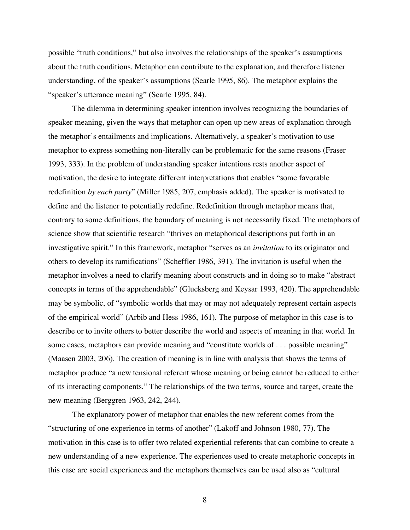possible "truth conditions," but also involves the relationships of the speaker's assumptions about the truth conditions. Metaphor can contribute to the explanation, and therefore listener understanding, of the speaker's assumptions (Searle 1995, 86). The metaphor explains the "speaker's utterance meaning" (Searle 1995, 84).

The dilemma in determining speaker intention involves recognizing the boundaries of speaker meaning, given the ways that metaphor can open up new areas of explanation through the metaphor's entailments and implications. Alternatively, a speaker's motivation to use metaphor to express something non-literally can be problematic for the same reasons (Fraser 1993, 333). In the problem of understanding speaker intentions rests another aspect of motivation, the desire to integrate different interpretations that enables "some favorable redefinition *by each party*" (Miller 1985, 207, emphasis added). The speaker is motivated to define and the listener to potentially redefine. Redefinition through metaphor means that, contrary to some definitions, the boundary of meaning is not necessarily fixed. The metaphors of science show that scientific research "thrives on metaphorical descriptions put forth in an investigative spirit." In this framework, metaphor "serves as an *invitation* to its originator and others to develop its ramifications" (Scheffler 1986, 391). The invitation is useful when the metaphor involves a need to clarify meaning about constructs and in doing so to make "abstract concepts in terms of the apprehendable" (Glucksberg and Keysar 1993, 420). The apprehendable may be symbolic, of "symbolic worlds that may or may not adequately represent certain aspects of the empirical world" (Arbib and Hess 1986, 161). The purpose of metaphor in this case is to describe or to invite others to better describe the world and aspects of meaning in that world. In some cases, metaphors can provide meaning and "constitute worlds of . . . possible meaning" (Maasen 2003, 206). The creation of meaning is in line with analysis that shows the terms of metaphor produce "a new tensional referent whose meaning or being cannot be reduced to either of its interacting components." The relationships of the two terms, source and target, create the new meaning (Berggren 1963, 242, 244).

The explanatory power of metaphor that enables the new referent comes from the "structuring of one experience in terms of another" (Lakoff and Johnson 1980, 77). The motivation in this case is to offer two related experiential referents that can combine to create a new understanding of a new experience. The experiences used to create metaphoric concepts in this case are social experiences and the metaphors themselves can be used also as "cultural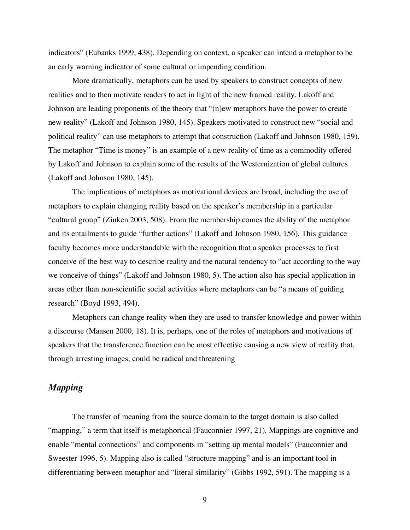indicators" (Eubanks 1999, 438). Depending on context, a speaker can intend a metaphor to be an early warning indicator of some cultural or impending condition.

More dramatically, metaphors can be used by speakers to construct concepts of new realities and to then motivate readers to act in light of the new framed reality. Lakoff and Johnson are leading proponents of the theory that "(n)ew metaphors have the power to create new reality" (Lakoff and Johnson 1980, 145). Speakers motivated to construct new "social and political reality" can use metaphors to attempt that construction (Lakoff and Johnson 1980, 159). The metaphor "Time is money" is an example of a new reality of time as a commodity offered by Lakoff and Johnson to explain some of the results of the Westernization of global cultures (Lakoff and Johnson 1980, 145).

The implications of metaphors as motivational devices are broad, including the use of metaphors to explain changing reality based on the speaker's membership in a particular "cultural group" (Zinken 2003, 508). From the membership comes the ability of the metaphor and its entailments to guide "further actions" (Lakoff and Johnson 1980, 156). This guidance faculty becomes more understandable with the recognition that a speaker processes to first conceive of the best way to describe reality and the natural tendency to "act according to the way we conceive of things" (Lakoff and Johnson 1980, 5). The action also has special application in areas other than non-scientific social activities where metaphors can be "a means of guiding research" (Boyd 1993, 494).

Metaphors can change reality when they are used to transfer knowledge and power within a discourse (Maasen 2000, 18). It is, perhaps, one of the roles of metaphors and motivations of speakers that the transference function can be most effective causing a new view of reality that, through arresting images, could be radical and threatening

# *Mapping*

The transfer of meaning from the source domain to the target domain is also called "mapping," a term that itself is metaphorical (Fauconnier 1997, 21). Mappings are cognitive and enable "mental connections" and components in "setting up mental models" (Fauconnier and Sweester 1996, 5). Mapping also is called "structure mapping" and is an important tool in differentiating between metaphor and "literal similarity" (Gibbs 1992, 591). The mapping is a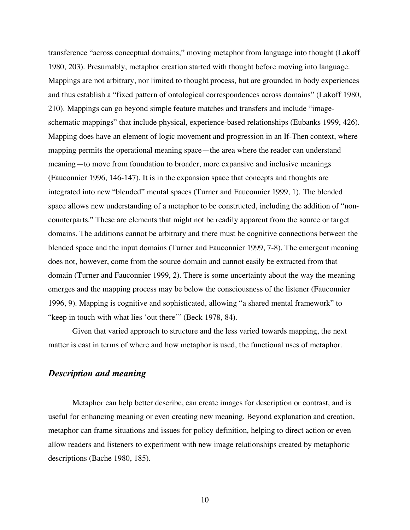transference "across conceptual domains," moving metaphor from language into thought (Lakoff 1980, 203). Presumably, metaphor creation started with thought before moving into language. Mappings are not arbitrary, nor limited to thought process, but are grounded in body experiences and thus establish a "fixed pattern of ontological correspondences across domains" (Lakoff 1980, 210). Mappings can go beyond simple feature matches and transfers and include "imageschematic mappings" that include physical, experience-based relationships (Eubanks 1999, 426). Mapping does have an element of logic movement and progression in an If-Then context, where mapping permits the operational meaning space—the area where the reader can understand meaning—to move from foundation to broader, more expansive and inclusive meanings (Fauconnier 1996, 146-147). It is in the expansion space that concepts and thoughts are integrated into new "blended" mental spaces (Turner and Fauconnier 1999, 1). The blended space allows new understanding of a metaphor to be constructed, including the addition of "noncounterparts." These are elements that might not be readily apparent from the source or target domains. The additions cannot be arbitrary and there must be cognitive connections between the blended space and the input domains (Turner and Fauconnier 1999, 7-8). The emergent meaning does not, however, come from the source domain and cannot easily be extracted from that domain (Turner and Fauconnier 1999, 2). There is some uncertainty about the way the meaning emerges and the mapping process may be below the consciousness of the listener (Fauconnier 1996, 9). Mapping is cognitive and sophisticated, allowing "a shared mental framework" to "keep in touch with what lies 'out there'" (Beck 1978, 84).

Given that varied approach to structure and the less varied towards mapping, the next matter is cast in terms of where and how metaphor is used, the functional uses of metaphor.

## *Description and meaning*

Metaphor can help better describe, can create images for description or contrast, and is useful for enhancing meaning or even creating new meaning. Beyond explanation and creation, metaphor can frame situations and issues for policy definition, helping to direct action or even allow readers and listeners to experiment with new image relationships created by metaphoric descriptions (Bache 1980, 185).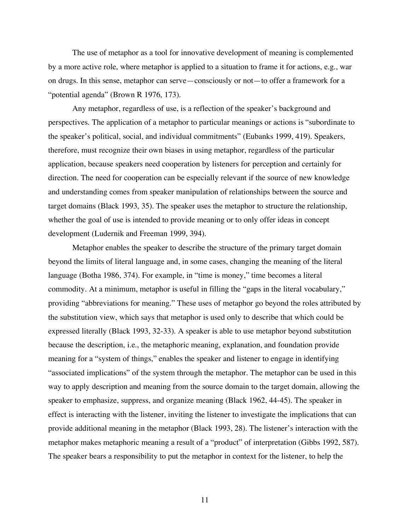The use of metaphor as a tool for innovative development of meaning is complemented by a more active role, where metaphor is applied to a situation to frame it for actions, e.g., war on drugs. In this sense, metaphor can serve—consciously or not—to offer a framework for a "potential agenda" (Brown R 1976, 173).

Any metaphor, regardless of use, is a reflection of the speaker's background and perspectives. The application of a metaphor to particular meanings or actions is "subordinate to the speaker's political, social, and individual commitments" (Eubanks 1999, 419). Speakers, therefore, must recognize their own biases in using metaphor, regardless of the particular application, because speakers need cooperation by listeners for perception and certainly for direction. The need for cooperation can be especially relevant if the source of new knowledge and understanding comes from speaker manipulation of relationships between the source and target domains (Black 1993, 35). The speaker uses the metaphor to structure the relationship, whether the goal of use is intended to provide meaning or to only offer ideas in concept development (Ludernik and Freeman 1999, 394).

Metaphor enables the speaker to describe the structure of the primary target domain beyond the limits of literal language and, in some cases, changing the meaning of the literal language (Botha 1986, 374). For example, in "time is money," time becomes a literal commodity. At a minimum, metaphor is useful in filling the "gaps in the literal vocabulary," providing "abbreviations for meaning." These uses of metaphor go beyond the roles attributed by the substitution view, which says that metaphor is used only to describe that which could be expressed literally (Black 1993, 32-33). A speaker is able to use metaphor beyond substitution because the description, i.e., the metaphoric meaning, explanation, and foundation provide meaning for a "system of things," enables the speaker and listener to engage in identifying "associated implications" of the system through the metaphor. The metaphor can be used in this way to apply description and meaning from the source domain to the target domain, allowing the speaker to emphasize, suppress, and organize meaning (Black 1962, 44-45). The speaker in effect is interacting with the listener, inviting the listener to investigate the implications that can provide additional meaning in the metaphor (Black 1993, 28). The listener's interaction with the metaphor makes metaphoric meaning a result of a "product" of interpretation (Gibbs 1992, 587). The speaker bears a responsibility to put the metaphor in context for the listener, to help the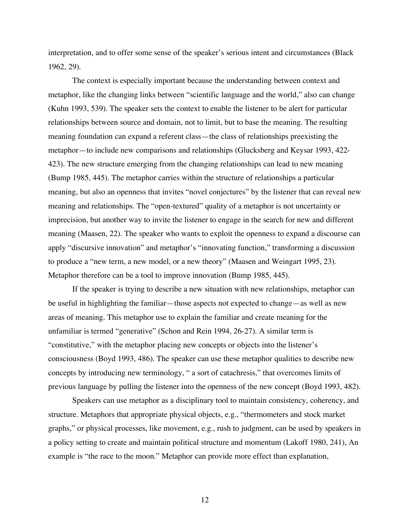interpretation, and to offer some sense of the speaker's serious intent and circumstances (Black 1962, 29).

The context is especially important because the understanding between context and metaphor, like the changing links between "scientific language and the world," also can change (Kuhn 1993, 539). The speaker sets the context to enable the listener to be alert for particular relationships between source and domain, not to limit, but to base the meaning. The resulting meaning foundation can expand a referent class—the class of relationships preexisting the metaphor—to include new comparisons and relationships (Glucksberg and Keysar 1993, 422- 423). The new structure emerging from the changing relationships can lead to new meaning (Bump 1985, 445). The metaphor carries within the structure of relationships a particular meaning, but also an openness that invites "novel conjectures" by the listener that can reveal new meaning and relationships. The "open-textured" quality of a metaphor is not uncertainty or imprecision, but another way to invite the listener to engage in the search for new and different meaning (Maasen, 22). The speaker who wants to exploit the openness to expand a discourse can apply "discursive innovation" and metaphor's "innovating function," transforming a discussion to produce a "new term, a new model, or a new theory" (Maasen and Weingart 1995, 23). Metaphor therefore can be a tool to improve innovation (Bump 1985, 445).

If the speaker is trying to describe a new situation with new relationships, metaphor can be useful in highlighting the familiar—those aspects not expected to change—as well as new areas of meaning. This metaphor use to explain the familiar and create meaning for the unfamiliar is termed "generative" (Schon and Rein 1994, 26-27). A similar term is "constitutive," with the metaphor placing new concepts or objects into the listener's consciousness (Boyd 1993, 486). The speaker can use these metaphor qualities to describe new concepts by introducing new terminology, " a sort of catachresis," that overcomes limits of previous language by pulling the listener into the openness of the new concept (Boyd 1993, 482).

Speakers can use metaphor as a disciplinary tool to maintain consistency, coherency, and structure. Metaphors that appropriate physical objects, e.g., "thermometers and stock market graphs," or physical processes, like movement, e.g., rush to judgment, can be used by speakers in a policy setting to create and maintain political structure and momentum (Lakoff 1980, 241), An example is "the race to the moon." Metaphor can provide more effect than explanation,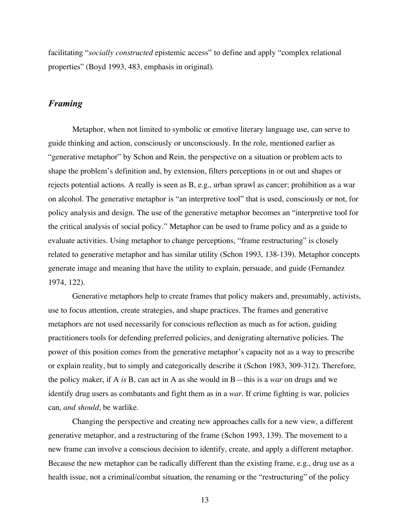facilitating "*socially constructed* epistemic access" to define and apply "complex relational properties" (Boyd 1993, 483, emphasis in original).

## *Framing*

Metaphor, when not limited to symbolic or emotive literary language use, can serve to guide thinking and action, consciously or unconsciously. In the role, mentioned earlier as "generative metaphor" by Schon and Rein, the perspective on a situation or problem acts to shape the problem's definition and, by extension, filters perceptions in or out and shapes or rejects potential actions. A really is seen as B, e.g., urban sprawl as cancer; prohibition as a war on alcohol. The generative metaphor is "an interpretive tool" that is used, consciously or not, for policy analysis and design. The use of the generative metaphor becomes an "interpretive tool for the critical analysis of social policy." Metaphor can be used to frame policy and as a guide to evaluate activities. Using metaphor to change perceptions, "frame restructuring" is closely related to generative metaphor and has similar utility (Schon 1993, 138-139). Metaphor concepts generate image and meaning that have the utility to explain, persuade, and guide (Fernandez 1974, 122).

Generative metaphors help to create frames that policy makers and, presumably, activists, use to focus attention, create strategies, and shape practices. The frames and generative metaphors are not used necessarily for conscious reflection as much as for action, guiding practitioners tools for defending preferred policies, and denigrating alternative policies. The power of this position comes from the generative metaphor's capacity not as a way to prescribe or explain reality, but to simply and categorically describe it (Schon 1983, 309-312). Therefore, the policy maker, if A *is* B, can act in A as she would in B—this is a *war* on drugs and we identify drug users as combatants and fight them as in a *war*. If crime fighting is war, policies can, *and should*, be warlike.

Changing the perspective and creating new approaches calls for a new view, a different generative metaphor, and a restructuring of the frame (Schon 1993, 139). The movement to a new frame can involve a conscious decision to identify, create, and apply a different metaphor. Because the new metaphor can be radically different than the existing frame, e.g., drug use as a health issue, not a criminal/combat situation, the renaming or the "restructuring" of the policy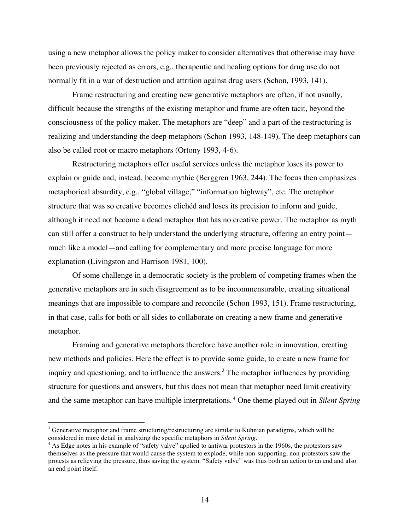using a new metaphor allows the policy maker to consider alternatives that otherwise may have been previously rejected as errors, e.g., therapeutic and healing options for drug use do not normally fit in a war of destruction and attrition against drug users (Schon, 1993, 141).

Frame restructuring and creating new generative metaphors are often, if not usually, difficult because the strengths of the existing metaphor and frame are often tacit, beyond the consciousness of the policy maker. The metaphors are "deep" and a part of the restructuring is realizing and understanding the deep metaphors (Schon 1993, 148-149). The deep metaphors can also be called root or macro metaphors (Ortony 1993, 4-6).

Restructuring metaphors offer useful services unless the metaphor loses its power to explain or guide and, instead, become mythic (Berggren 1963, 244). The focus then emphasizes metaphorical absurdity, e.g., "global village," "information highway", etc. The metaphor structure that was so creative becomes clichéd and loses its precision to inform and guide, although it need not become a dead metaphor that has no creative power. The metaphor as myth can still offer a construct to help understand the underlying structure, offering an entry point much like a model—and calling for complementary and more precise language for more explanation (Livingston and Harrison 1981, 100).

Of some challenge in a democratic society is the problem of competing frames when the generative metaphors are in such disagreement as to be incommensurable, creating situational meanings that are impossible to compare and reconcile (Schon 1993, 151). Frame restructuring, in that case, calls for both or all sides to collaborate on creating a new frame and generative metaphor.

Framing and generative metaphors therefore have another role in innovation, creating new methods and policies. Here the effect is to provide some guide, to create a new frame for inquiry and questioning, and to influence the answers. <sup>3</sup> The metaphor influences by providing structure for questions and answers, but this does not mean that metaphor need limit creativity and the same metaphor can have multiple interpretations. <sup>4</sup> One theme played out in *Silent Spring*

<sup>&</sup>lt;sup>3</sup> Generative metaphor and frame structuring/restructuring are similar to Kuhnian paradigms, which will be considered in more detail in analyzing the specific metaphors in *Silent Spring*.

<sup>&</sup>lt;sup>4</sup> As Edge notes in his example of "safety valve" applied to antiwar protestors in the 1960s, the protestors saw themselves as the pressure that would cause the system to explode, while non-supporting, non-protestors saw the protests as relieving the pressure, thus saving the system. "Safety valve" was thus both an action to an end and also an end point itself.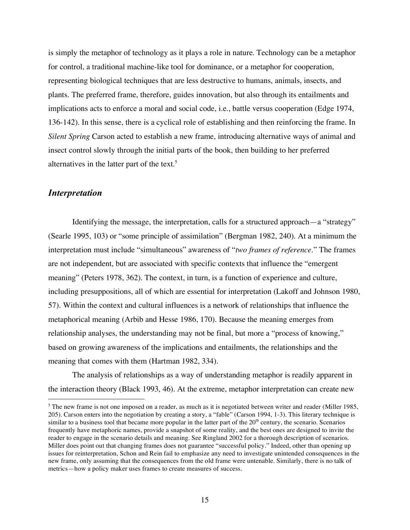is simply the metaphor of technology as it plays a role in nature. Technology can be a metaphor for control, a traditional machine-like tool for dominance, or a metaphor for cooperation, representing biological techniques that are less destructive to humans, animals, insects, and plants. The preferred frame, therefore, guides innovation, but also through its entailments and implications acts to enforce a moral and social code, i.e., battle versus cooperation (Edge 1974, 136-142). In this sense, there is a cyclical role of establishing and then reinforcing the frame. In *Silent Spring* Carson acted to establish a new frame, introducing alternative ways of animal and insect control slowly through the initial parts of the book, then building to her preferred alternatives in the latter part of the text. 5

## *Interpretation*

Identifying the message, the interpretation, calls for a structured approach—a "strategy" (Searle 1995, 103) or "some principle of assimilation" (Bergman 1982, 240). At a minimum the interpretation must include "simultaneous" awareness of "*two frames of reference.*" The frames are not independent, but are associated with specific contexts that influence the "emergent meaning" (Peters 1978, 362). The context, in turn, is a function of experience and culture, including presuppositions, all of which are essential for interpretation (Lakoff and Johnson 1980, 57). Within the context and cultural influences is a network of relationships that influence the metaphorical meaning (Arbib and Hesse 1986, 170). Because the meaning emerges from relationship analyses, the understanding may not be final, but more a "process of knowing," based on growing awareness of the implications and entailments, the relationships and the meaning that comes with them (Hartman 1982, 334).

The analysis of relationships as a way of understanding metaphor is readily apparent in the interaction theory (Black 1993, 46). At the extreme, metaphor interpretation can create new

<sup>&</sup>lt;sup>5</sup> The new frame is not one imposed on a reader, as much as it is negotiated between writer and reader (Miller 1985, 205). Carson enters into the negotiation by creating a story, a "fable" (Carson 1994, 1-3). This literary technique is similar to a business tool that became more popular in the latter part of the  $20<sup>th</sup>$  century, the scenario. Scenarios frequently have metaphoric names, provide a snapshot of some reality, and the best ones are designed to invite the reader to engage in the scenario details and meaning. See Ringland 2002 for a thorough description of scenarios. Miller does point out that changing frames does not guarantee "successful policy." Indeed, other than opening up issues for reinterpretation, Schon and Rein fail to emphasize any need to investigate unintended consequences in the new frame, only assuming that the consequences from the old frame were untenable. Similarly, there is no talk of metrics—how a policy maker uses frames to create measures of success.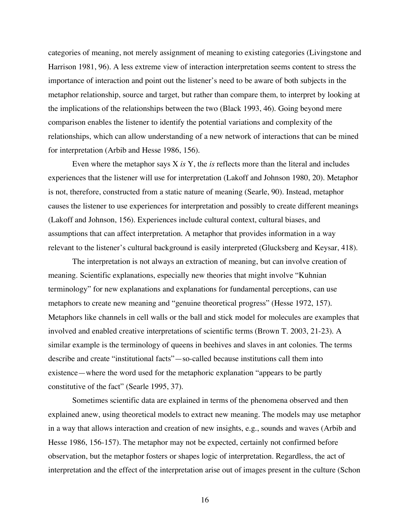categories of meaning, not merely assignment of meaning to existing categories (Livingstone and Harrison 1981, 96). A less extreme view of interaction interpretation seems content to stress the importance of interaction and point out the listener's need to be aware of both subjects in the metaphor relationship, source and target, but rather than compare them, to interpret by looking at the implications of the relationships between the two (Black 1993, 46). Going beyond mere comparison enables the listener to identify the potential variations and complexity of the relationships, which can allow understanding of a new network of interactions that can be mined for interpretation (Arbib and Hesse 1986, 156).

Even where the metaphor says X *is* Y, the *is* reflects more than the literal and includes experiences that the listener will use for interpretation (Lakoff and Johnson 1980, 20). Metaphor is not, therefore, constructed from a static nature of meaning (Searle, 90). Instead, metaphor causes the listener to use experiences for interpretation and possibly to create different meanings (Lakoff and Johnson, 156). Experiences include cultural context, cultural biases, and assumptions that can affect interpretation. A metaphor that provides information in a way relevant to the listener's cultural background is easily interpreted (Glucksberg and Keysar, 418).

The interpretation is not always an extraction of meaning, but can involve creation of meaning. Scientific explanations, especially new theories that might involve "Kuhnian terminology" for new explanations and explanations for fundamental perceptions, can use metaphors to create new meaning and "genuine theoretical progress" (Hesse 1972, 157). Metaphors like channels in cell walls or the ball and stick model for molecules are examples that involved and enabled creative interpretations of scientific terms (Brown T. 2003, 21-23). A similar example is the terminology of queens in beehives and slaves in ant colonies. The terms describe and create "institutional facts"—so-called because institutions call them into existence—where the word used for the metaphoric explanation "appears to be partly constitutive of the fact" (Searle 1995, 37).

Sometimes scientific data are explained in terms of the phenomena observed and then explained anew, using theoretical models to extract new meaning. The models may use metaphor in a way that allows interaction and creation of new insights, e.g., sounds and waves (Arbib and Hesse 1986, 156-157). The metaphor may not be expected, certainly not confirmed before observation, but the metaphor fosters or shapes logic of interpretation. Regardless, the act of interpretation and the effect of the interpretation arise out of images present in the culture (Schon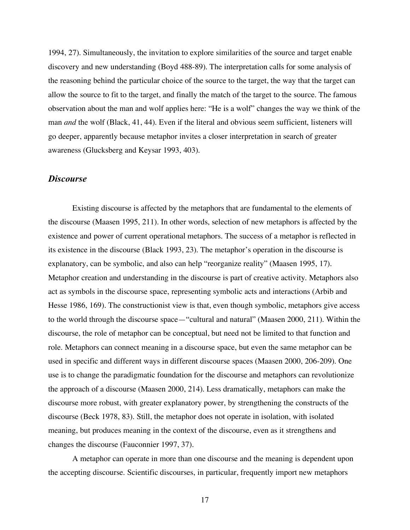1994, 27). Simultaneously, the invitation to explore similarities of the source and target enable discovery and new understanding (Boyd 488-89). The interpretation calls for some analysis of the reasoning behind the particular choice of the source to the target, the way that the target can allow the source to fit to the target, and finally the match of the target to the source. The famous observation about the man and wolf applies here: "He is a wolf" changes the way we think of the man *and* the wolf (Black, 41, 44). Even if the literal and obvious seem sufficient, listeners will go deeper, apparently because metaphor invites a closer interpretation in search of greater awareness (Glucksberg and Keysar 1993, 403).

#### *Discourse*

Existing discourse is affected by the metaphors that are fundamental to the elements of the discourse (Maasen 1995, 211). In other words, selection of new metaphors is affected by the existence and power of current operational metaphors. The success of a metaphor is reflected in its existence in the discourse (Black 1993, 23). The metaphor's operation in the discourse is explanatory, can be symbolic, and also can help "reorganize reality" (Maasen 1995, 17). Metaphor creation and understanding in the discourse is part of creative activity. Metaphors also act as symbols in the discourse space, representing symbolic acts and interactions (Arbib and Hesse 1986, 169). The constructionist view is that, even though symbolic, metaphors give access to the world through the discourse space—"cultural and natural" (Maasen 2000, 211). Within the discourse, the role of metaphor can be conceptual, but need not be limited to that function and role. Metaphors can connect meaning in a discourse space, but even the same metaphor can be used in specific and different ways in different discourse spaces (Maasen 2000, 206-209). One use is to change the paradigmatic foundation for the discourse and metaphors can revolutionize the approach of a discourse (Maasen 2000, 214). Less dramatically, metaphors can make the discourse more robust, with greater explanatory power, by strengthening the constructs of the discourse (Beck 1978, 83). Still, the metaphor does not operate in isolation, with isolated meaning, but produces meaning in the context of the discourse, even as it strengthens and changes the discourse (Fauconnier 1997, 37).

A metaphor can operate in more than one discourse and the meaning is dependent upon the accepting discourse. Scientific discourses, in particular, frequently import new metaphors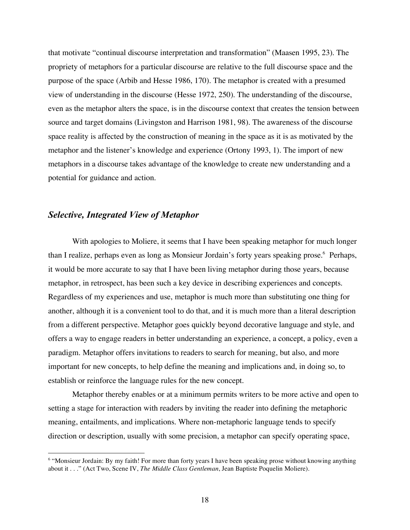that motivate "continual discourse interpretation and transformation" (Maasen 1995, 23). The propriety of metaphors for a particular discourse are relative to the full discourse space and the purpose of the space (Arbib and Hesse 1986, 170). The metaphor is created with a presumed view of understanding in the discourse (Hesse 1972, 250). The understanding of the discourse, even as the metaphor alters the space, is in the discourse context that creates the tension between source and target domains (Livingston and Harrison 1981, 98). The awareness of the discourse space reality is affected by the construction of meaning in the space as it is as motivated by the metaphor and the listener's knowledge and experience (Ortony 1993, 1). The import of new metaphors in a discourse takes advantage of the knowledge to create new understanding and a potential for guidance and action.

#### *Selective, Integrated View of Metaphor*

With apologies to Moliere, it seems that I have been speaking metaphor for much longer than I realize, perhaps even as long as Monsieur Jordain's forty years speaking prose. <sup>6</sup> Perhaps, it would be more accurate to say that I have been living metaphor during those years, because metaphor, in retrospect, has been such a key device in describing experiences and concepts. Regardless of my experiences and use, metaphor is much more than substituting one thing for another, although it is a convenient tool to do that, and it is much more than a literal description from a different perspective. Metaphor goes quickly beyond decorative language and style, and offers a way to engage readers in better understanding an experience, a concept, a policy, even a paradigm. Metaphor offers invitations to readers to search for meaning, but also, and more important for new concepts, to help define the meaning and implications and, in doing so, to establish or reinforce the language rules for the new concept.

Metaphor thereby enables or at a minimum permits writers to be more active and open to setting a stage for interaction with readers by inviting the reader into defining the metaphoric meaning, entailments, and implications. Where non-metaphoric language tends to specify direction or description, usually with some precision, a metaphor can specify operating space,

<sup>&</sup>lt;sup>6</sup> "Monsieur Jordain: By my faith! For more than forty years I have been speaking prose without knowing anything about it . . ." (Act Two, Scene IV, *The Middle Class Gentleman*, Jean Baptiste Poquelin Moliere).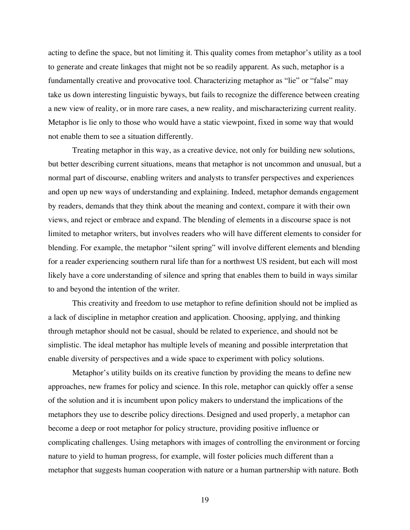acting to define the space, but not limiting it. This quality comes from metaphor's utility as a tool to generate and create linkages that might not be so readily apparent. As such, metaphor is a fundamentally creative and provocative tool. Characterizing metaphor as "lie" or "false" may take us down interesting linguistic byways, but fails to recognize the difference between creating a new view of reality, or in more rare cases, a new reality, and mischaracterizing current reality. Metaphor is lie only to those who would have a static viewpoint, fixed in some way that would not enable them to see a situation differently.

Treating metaphor in this way, as a creative device, not only for building new solutions, but better describing current situations, means that metaphor is not uncommon and unusual, but a normal part of discourse, enabling writers and analysts to transfer perspectives and experiences and open up new ways of understanding and explaining. Indeed, metaphor demands engagement by readers, demands that they think about the meaning and context, compare it with their own views, and reject or embrace and expand. The blending of elements in a discourse space is not limited to metaphor writers, but involves readers who will have different elements to consider for blending. For example, the metaphor "silent spring" will involve different elements and blending for a reader experiencing southern rural life than for a northwest US resident, but each will most likely have a core understanding of silence and spring that enables them to build in ways similar to and beyond the intention of the writer.

This creativity and freedom to use metaphor to refine definition should not be implied as a lack of discipline in metaphor creation and application. Choosing, applying, and thinking through metaphor should not be casual, should be related to experience, and should not be simplistic. The ideal metaphor has multiple levels of meaning and possible interpretation that enable diversity of perspectives and a wide space to experiment with policy solutions.

Metaphor's utility builds on its creative function by providing the means to define new approaches, new frames for policy and science. In this role, metaphor can quickly offer a sense of the solution and it is incumbent upon policy makers to understand the implications of the metaphors they use to describe policy directions. Designed and used properly, a metaphor can become a deep or root metaphor for policy structure, providing positive influence or complicating challenges. Using metaphors with images of controlling the environment or forcing nature to yield to human progress, for example, will foster policies much different than a metaphor that suggests human cooperation with nature or a human partnership with nature. Both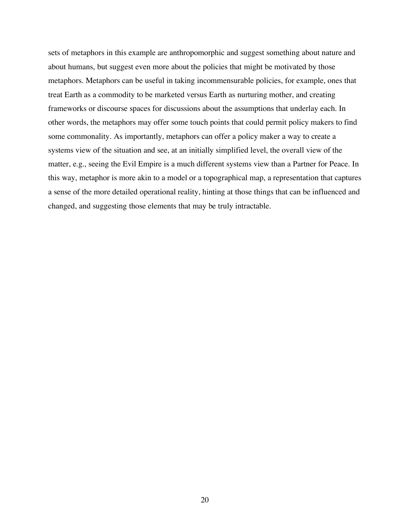sets of metaphors in this example are anthropomorphic and suggest something about nature and about humans, but suggest even more about the policies that might be motivated by those metaphors. Metaphors can be useful in taking incommensurable policies, for example, ones that treat Earth as a commodity to be marketed versus Earth as nurturing mother, and creating frameworks or discourse spaces for discussions about the assumptions that underlay each. In other words, the metaphors may offer some touch points that could permit policy makers to find some commonality. As importantly, metaphors can offer a policy maker a way to create a systems view of the situation and see, at an initially simplified level, the overall view of the matter, e.g., seeing the Evil Empire is a much different systems view than a Partner for Peace. In this way, metaphor is more akin to a model or a topographical map, a representation that captures a sense of the more detailed operational reality, hinting at those things that can be influenced and changed, and suggesting those elements that may be truly intractable.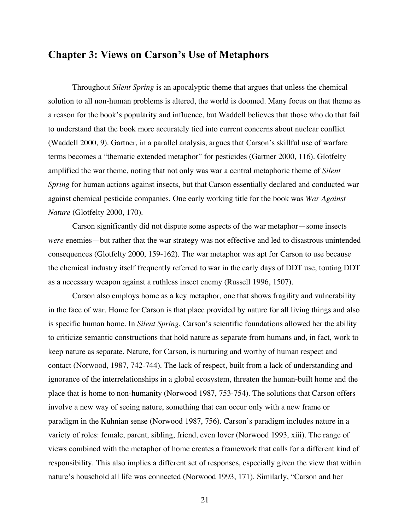# **Chapter 3: Views on Carson's Use of Metaphors**

Throughout *Silent Spring* is an apocalyptic theme that argues that unless the chemical solution to all non-human problems is altered, the world is doomed. Many focus on that theme as a reason for the book's popularity and influence, but Waddell believes that those who do that fail to understand that the book more accurately tied into current concerns about nuclear conflict (Waddell 2000, 9). Gartner, in a parallel analysis, argues that Carson's skillful use of warfare terms becomes a "thematic extended metaphor" for pesticides (Gartner 2000, 116). Glotfelty amplified the war theme, noting that not only was war a central metaphoric theme of *Silent Spring* for human actions against insects, but that Carson essentially declared and conducted war against chemical pesticide companies. One early working title for the book was *War Against Nature* (Glotfelty 2000, 170).

Carson significantly did not dispute some aspects of the war metaphor—some insects *were* enemies—but rather that the war strategy was not effective and led to disastrous unintended consequences (Glotfelty 2000, 159-162). The war metaphor was apt for Carson to use because the chemical industry itself frequently referred to war in the early days of DDT use, touting DDT as a necessary weapon against a ruthless insect enemy (Russell 1996, 1507).

Carson also employs home as a key metaphor, one that shows fragility and vulnerability in the face of war. Home for Carson is that place provided by nature for all living things and also is specific human home. In *Silent Spring*, Carson's scientific foundations allowed her the ability to criticize semantic constructions that hold nature as separate from humans and, in fact, work to keep nature as separate. Nature, for Carson, is nurturing and worthy of human respect and contact (Norwood, 1987, 742-744). The lack of respect, built from a lack of understanding and ignorance of the interrelationships in a global ecosystem, threaten the human-built home and the place that is home to non-humanity (Norwood 1987, 753-754). The solutions that Carson offers involve a new way of seeing nature, something that can occur only with a new frame or paradigm in the Kuhnian sense (Norwood 1987, 756). Carson's paradigm includes nature in a variety of roles: female, parent, sibling, friend, even lover (Norwood 1993, xiii). The range of views combined with the metaphor of home creates a framework that calls for a different kind of responsibility. This also implies a different set of responses, especially given the view that within nature's household all life was connected (Norwood 1993, 171). Similarly, "Carson and her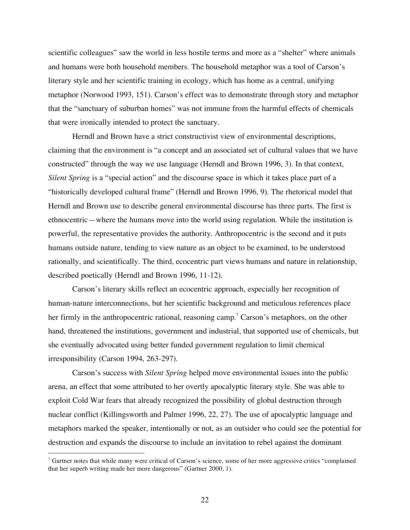scientific colleagues" saw the world in less hostile terms and more as a "shelter" where animals and humans were both household members. The household metaphor was a tool of Carson's literary style and her scientific training in ecology, which has home as a central, unifying metaphor (Norwood 1993, 151). Carson's effect was to demonstrate through story and metaphor that the "sanctuary of suburban homes" was not immune from the harmful effects of chemicals that were ironically intended to protect the sanctuary.

Herndl and Brown have a strict constructivist view of environmental descriptions, claiming that the environment is "a concept and an associated set of cultural values that we have constructed" through the way we use language (Herndl and Brown 1996, 3). In that context, *Silent Spring* is a "special action" and the discourse space in which it takes place part of a "historically developed cultural frame" (Herndl and Brown 1996, 9). The rhetorical model that Herndl and Brown use to describe general environmental discourse has three parts. The first is ethnocentric—where the humans move into the world using regulation. While the institution is powerful, the representative provides the authority. Anthropocentric is the second and it puts humans outside nature, tending to view nature as an object to be examined, to be understood rationally, and scientifically. The third, ecocentric part views humans and nature in relationship, described poetically (Herndl and Brown 1996, 11-12).

Carson's literary skills reflect an ecocentric approach, especially her recognition of human-nature interconnections, but her scientific background and meticulous references place her firmly in the anthropocentric rational, reasoning camp.<sup>7</sup> Carson's metaphors, on the other hand, threatened the institutions, government and industrial, that supported use of chemicals, but she eventually advocated using better funded government regulation to limit chemical irresponsibility (Carson 1994, 263-297).

Carson's success with *Silent Spring* helped move environmental issues into the public arena, an effect that some attributed to her overtly apocalyptic literary style. She was able to exploit Cold War fears that already recognized the possibility of global destruction through nuclear conflict (Killingsworth and Palmer 1996, 22, 27). The use of apocalyptic language and metaphors marked the speaker, intentionally or not, as an outsider who could see the potential for destruction and expands the discourse to include an invitation to rebel against the dominant

 $7$  Gartner notes that while many were critical of Carson's science, some of her more aggressive critics "complained that her superb writing made her more dangerous" (Gartner 2000, 1).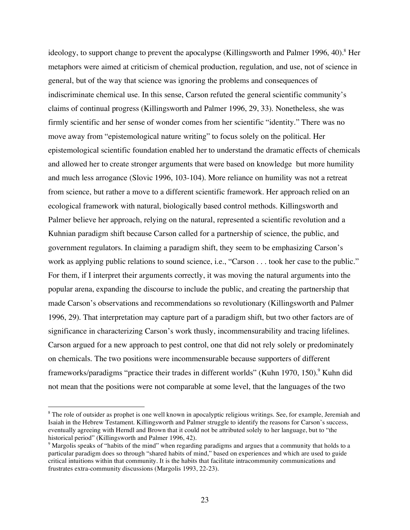ideology, to support change to prevent the apocalypse (Killingsworth and Palmer 1996, 40). <sup>8</sup> Her metaphors were aimed at criticism of chemical production, regulation, and use, not of science in general, but of the way that science was ignoring the problems and consequences of indiscriminate chemical use. In this sense, Carson refuted the general scientific community's claims of continual progress (Killingsworth and Palmer 1996, 29, 33). Nonetheless, she was firmly scientific and her sense of wonder comes from her scientific "identity." There was no move away from "epistemological nature writing" to focus solely on the political. Her epistemological scientific foundation enabled her to understand the dramatic effects of chemicals and allowed her to create stronger arguments that were based on knowledge but more humility and much less arrogance (Slovic 1996, 103-104). More reliance on humility was not a retreat from science, but rather a move to a different scientific framework. Her approach relied on an ecological framework with natural, biologically based control methods. Killingsworth and Palmer believe her approach, relying on the natural, represented a scientific revolution and a Kuhnian paradigm shift because Carson called for a partnership of science, the public, and government regulators. In claiming a paradigm shift, they seem to be emphasizing Carson's work as applying public relations to sound science, i.e., "Carson . . . took her case to the public." For them, if I interpret their arguments correctly, it was moving the natural arguments into the popular arena, expanding the discourse to include the public, and creating the partnership that made Carson's observations and recommendations so revolutionary (Killingsworth and Palmer 1996, 29). That interpretation may capture part of a paradigm shift, but two other factors are of significance in characterizing Carson's work thusly, incommensurability and tracing lifelines. Carson argued for a new approach to pest control, one that did not rely solely or predominately on chemicals. The two positions were incommensurable because supporters of different frameworks/paradigms "practice their trades in different worlds" (Kuhn 1970, 150). <sup>9</sup> Kuhn did not mean that the positions were not comparable at some level, that the languages of the two

<sup>&</sup>lt;sup>8</sup> The role of outsider as prophet is one well known in apocalyptic religious writings. See, for example, Jeremiah and Isaiah in the Hebrew Testament. Killingsworth and Palmer struggle to identify the reasons for Carson's success, eventually agreeing with Herndl and Brown that it could not be attributed solely to her language, but to "the historical period" (Killingsworth and Palmer 1996, 42).

<sup>&</sup>lt;sup>9</sup> Margolis speaks of "habits of the mind" when regarding paradigms and argues that a community that holds to a particular paradigm does so through "shared habits of mind," based on experiences and which are used to guide critical intuitions within that community. It is the habits that facilitate intracommunity communications and frustrates extra-community discussions (Margolis 1993, 22-23).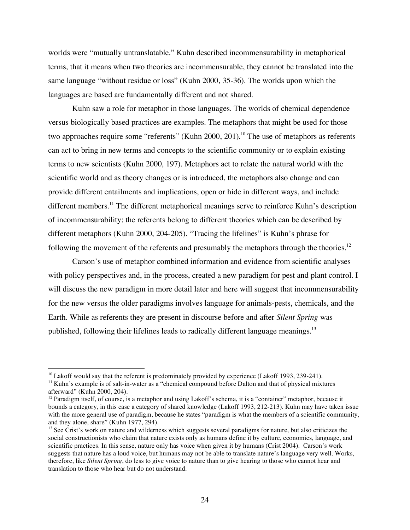worlds were "mutually untranslatable." Kuhn described incommensurability in metaphorical terms, that it means when two theories are incommensurable, they cannot be translated into the same language "without residue or loss" (Kuhn 2000, 35-36). The worlds upon which the languages are based are fundamentally different and not shared.

Kuhn saw a role for metaphor in those languages. The worlds of chemical dependence versus biologically based practices are examples. The metaphors that might be used for those two approaches require some "referents" (Kuhn 2000, 201).<sup>10</sup> The use of metaphors as referents can act to bring in new terms and concepts to the scientific community or to explain existing terms to new scientists (Kuhn 2000, 197). Metaphors act to relate the natural world with the scientific world and as theory changes or is introduced, the metaphors also change and can provide different entailments and implications, open or hide in different ways, and include different members.<sup>11</sup> The different metaphorical meanings serve to reinforce Kuhn's description of incommensurability; the referents belong to different theories which can be described by different metaphors (Kuhn 2000, 204-205). "Tracing the lifelines" is Kuhn's phrase for following the movement of the referents and presumably the metaphors through the theories.<sup>12</sup>

Carson's use of metaphor combined information and evidence from scientific analyses with policy perspectives and, in the process, created a new paradigm for pest and plant control. I will discuss the new paradigm in more detail later and here will suggest that incommensurability for the new versus the older paradigms involves language for animals-pests, chemicals, and the Earth. While as referents they are present in discourse before and after *Silent Spring* was published, following their lifelines leads to radically different language meanings.<sup>13</sup>

<sup>&</sup>lt;sup>10</sup> Lakoff would say that the referent is predominately provided by experience (Lakoff 1993, 239-241).

 $11$  Kuhn's example is of salt-in-water as a "chemical compound before Dalton and that of physical mixtures afterward" (Kuhn 2000, 204).

<sup>&</sup>lt;sup>12</sup> Paradigm itself, of course, is a metaphor and using Lakoff's schema, it is a "container" metaphor, because it bounds a category, in this case a category of shared knowledge (Lakoff 1993, 212-213). Kuhn may have taken issue with the more general use of paradigm, because he states "paradigm is what the members of a scientific community, and they alone, share" (Kuhn 1977, 294).

 $<sup>13</sup>$  See Crist's work on nature and wilderness which suggests several paradigms for nature, but also criticizes the</sup> social constructionists who claim that nature exists only as humans define it by culture, economics, language, and scientific practices. In this sense, nature only has voice when given it by humans (Crist 2004). Carson's work suggests that nature has a loud voice, but humans may not be able to translate nature's language very well. Works, therefore, like *Silent Spring*, do less to give voice to nature than to give hearing to those who cannot hear and translation to those who hear but do not understand.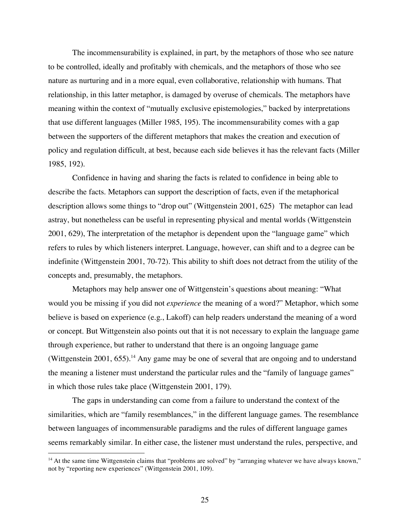The incommensurability is explained, in part, by the metaphors of those who see nature to be controlled, ideally and profitably with chemicals, and the metaphors of those who see nature as nurturing and in a more equal, even collaborative, relationship with humans. That relationship, in this latter metaphor, is damaged by overuse of chemicals. The metaphors have meaning within the context of "mutually exclusive epistemologies," backed by interpretations that use different languages (Miller 1985, 195). The incommensurability comes with a gap between the supporters of the different metaphors that makes the creation and execution of policy and regulation difficult, at best, because each side believes it has the relevant facts (Miller 1985, 192).

Confidence in having and sharing the facts is related to confidence in being able to describe the facts. Metaphors can support the description of facts, even if the metaphorical description allows some things to "drop out" (Wittgenstein 2001, 625) The metaphor can lead astray, but nonetheless can be useful in representing physical and mental worlds (Wittgenstein 2001, 629), The interpretation of the metaphor is dependent upon the "language game" which refers to rules by which listeners interpret. Language, however, can shift and to a degree can be indefinite (Wittgenstein 2001, 70-72). This ability to shift does not detract from the utility of the concepts and, presumably, the metaphors.

Metaphors may help answer one of Wittgenstein's questions about meaning: "What would you be missing if you did not *experience* the meaning of a word?" Metaphor, which some believe is based on experience (e.g., Lakoff) can help readers understand the meaning of a word or concept. But Wittgenstein also points out that it is not necessary to explain the language game through experience, but rather to understand that there is an ongoing language game (Wittgenstein 2001, 655).<sup>14</sup> Any game may be one of several that are ongoing and to understand the meaning a listener must understand the particular rules and the "family of language games" in which those rules take place (Wittgenstein 2001, 179).

The gaps in understanding can come from a failure to understand the context of the similarities, which are "family resemblances," in the different language games. The resemblance between languages of incommensurable paradigms and the rules of different language games seems remarkably similar. In either case, the listener must understand the rules, perspective, and

 $14$  At the same time Wittgenstein claims that "problems are solved" by "arranging whatever we have always known," not by "reporting new experiences" (Wittgenstein 2001, 109).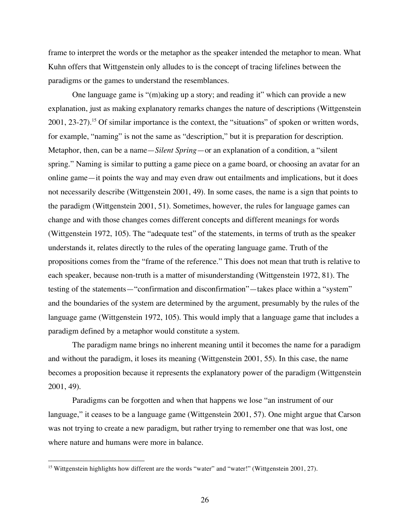frame to interpret the words or the metaphor as the speaker intended the metaphor to mean. What Kuhn offers that Wittgenstein only alludes to is the concept of tracing lifelines between the paradigms or the games to understand the resemblances.

One language game is "(m)aking up a story; and reading it" which can provide a new explanation, just as making explanatory remarks changes the nature of descriptions (Wittgenstein 2001, 23-27).<sup>15</sup> Of similar importance is the context, the "situations" of spoken or written words, for example, "naming" is not the same as "description," but it is preparation for description. Metaphor, then, can be a name—*Silent Spring*—or an explanation of a condition, a "silent spring." Naming is similar to putting a game piece on a game board, or choosing an avatar for an online game—it points the way and may even draw out entailments and implications, but it does not necessarily describe (Wittgenstein 2001, 49). In some cases, the name is a sign that points to the paradigm (Wittgenstein 2001, 51). Sometimes, however, the rules for language games can change and with those changes comes different concepts and different meanings for words (Wittgenstein 1972, 105). The "adequate test" of the statements, in terms of truth as the speaker understands it, relates directly to the rules of the operating language game. Truth of the propositions comes from the "frame of the reference." This does not mean that truth is relative to each speaker, because non-truth is a matter of misunderstanding (Wittgenstein 1972, 81). The testing of the statements—"confirmation and disconfirmation"—takes place within a "system" and the boundaries of the system are determined by the argument, presumably by the rules of the language game (Wittgenstein 1972, 105). This would imply that a language game that includes a paradigm defined by a metaphor would constitute a system.

The paradigm name brings no inherent meaning until it becomes the name for a paradigm and without the paradigm, it loses its meaning (Wittgenstein 2001, 55). In this case, the name becomes a proposition because it represents the explanatory power of the paradigm (Wittgenstein 2001, 49).

Paradigms can be forgotten and when that happens we lose "an instrument of our language," it ceases to be a language game (Wittgenstein 2001, 57). One might argue that Carson was not trying to create a new paradigm, but rather trying to remember one that was lost, one where nature and humans were more in balance.

<sup>&</sup>lt;sup>15</sup> Wittgenstein highlights how different are the words "water" and "water!" (Wittgenstein 2001, 27).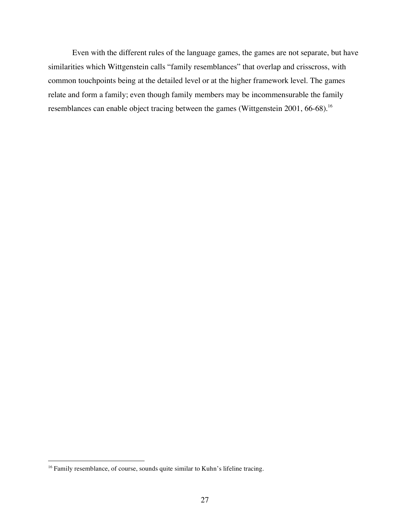Even with the different rules of the language games, the games are not separate, but have similarities which Wittgenstein calls "family resemblances" that overlap and crisscross, with common touchpoints being at the detailed level or at the higher framework level. The games relate and form a family; even though family members may be incommensurable the family resemblances can enable object tracing between the games (Wittgenstein 2001, 66-68).<sup>16</sup>

<sup>&</sup>lt;sup>16</sup> Family resemblance, of course, sounds quite similar to Kuhn's lifeline tracing.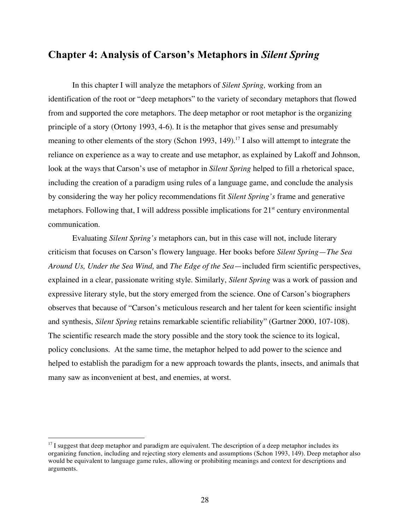# **Chapter 4: Analysis of Carson's Metaphors in** *Silent Spring*

In this chapter I will analyze the metaphors of *Silent Spring,* working from an identification of the root or "deep metaphors" to the variety of secondary metaphors that flowed from and supported the core metaphors. The deep metaphor or root metaphor is the organizing principle of a story (Ortony 1993, 4-6). It is the metaphor that gives sense and presumably meaning to other elements of the story (Schon 1993, 149).<sup>17</sup> I also will attempt to integrate the reliance on experience as a way to create and use metaphor, as explained by Lakoff and Johnson, look at the ways that Carson's use of metaphor in *Silent Spring* helped to fill a rhetorical space, including the creation of a paradigm using rules of a language game, and conclude the analysis by considering the way her policy recommendations fit *Silent Spring's* frame and generative metaphors. Following that, I will address possible implications for  $21<sup>st</sup>$  century environmental communication.

Evaluating *Silent Spring's* metaphors can, but in this case will not, include literary criticism that focuses on Carson's flowery language. Her books before *Silent Spring*—*The Sea Around Us, Under the Sea Wind,* and *The Edge of the Sea*—included firm scientific perspectives, explained in a clear, passionate writing style. Similarly, *Silent Spring* was a work of passion and expressive literary style, but the story emerged from the science. One of Carson's biographers observes that because of "Carson's meticulous research and her talent for keen scientific insight and synthesis, *Silent Spring* retains remarkable scientific reliability" (Gartner 2000, 107-108). The scientific research made the story possible and the story took the science to its logical, policy conclusions. At the same time, the metaphor helped to add power to the science and helped to establish the paradigm for a new approach towards the plants, insects, and animals that many saw as inconvenient at best, and enemies, at worst.

 $17$  I suggest that deep metaphor and paradigm are equivalent. The description of a deep metaphor includes its organizing function, including and rejecting story elements and assumptions (Schon 1993, 149). Deep metaphor also would be equivalent to language game rules, allowing or prohibiting meanings and context for descriptions and arguments.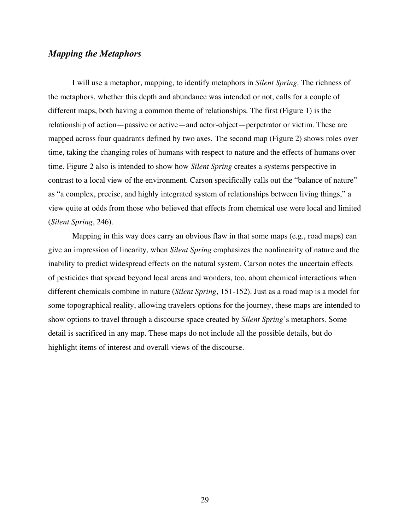## *Mapping the Metaphors*

I will use a metaphor, mapping, to identify metaphors in *Silent Spring.* The richness of the metaphors, whether this depth and abundance was intended or not, calls for a couple of different maps, both having a common theme of relationships. The first (Figure 1) is the relationship of action—passive or active—and actor-object—perpetrator or victim. These are mapped across four quadrants defined by two axes. The second map (Figure 2) shows roles over time, taking the changing roles of humans with respect to nature and the effects of humans over time. Figure 2 also is intended to show how *Silent Spring* creates a systems perspective in contrast to a local view of the environment. Carson specifically calls out the "balance of nature" as "a complex, precise, and highly integrated system of relationships between living things," a view quite at odds from those who believed that effects from chemical use were local and limited (*Silent Spring*, 246).

Mapping in this way does carry an obvious flaw in that some maps (e.g., road maps) can give an impression of linearity, when *Silent Spring* emphasizes the nonlinearity of nature and the inability to predict widespread effects on the natural system. Carson notes the uncertain effects of pesticides that spread beyond local areas and wonders, too, about chemical interactions when different chemicals combine in nature (*Silent Spring*, 151-152). Just as a road map is a model for some topographical reality, allowing travelers options for the journey, these maps are intended to show options to travel through a discourse space created by *Silent Spring*'s metaphors. Some detail is sacrificed in any map. These maps do not include all the possible details, but do highlight items of interest and overall views of the discourse.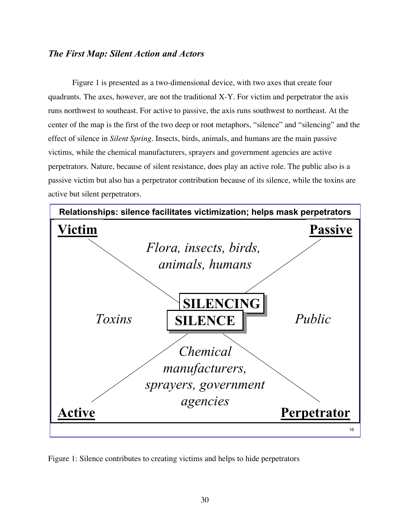## *The First Map: Silent Action and Actors*

Figure 1 is presented as a two-dimensional device, with two axes that create four quadrants. The axes, however, are not the traditional X-Y. For victim and perpetrator the axis runs northwest to southeast. For active to passive, the axis runs southwest to northeast. At the center of the map is the first of the two deep or root metaphors, "silence" and "silencing" and the effect of silence in *Silent Spring.* Insects, birds, animals, and humans are the main passive victims, while the chemical manufacturers, sprayers and government agencies are active perpetrators. Nature, because of silent resistance, does play an active role. The public also is a passive victim but also has a perpetrator contribution because of its silence, while the toxins are active but silent perpetrators.



Figure 1: Silence contributes to creating victims and helps to hide perpetrators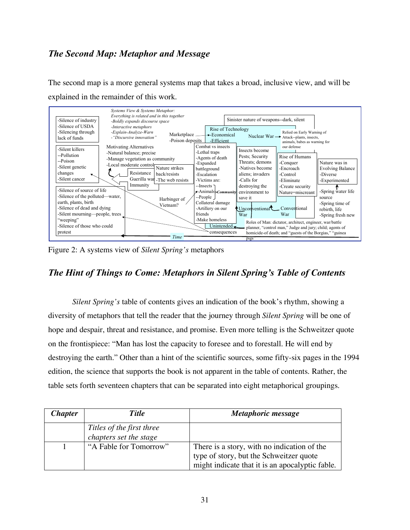# *The Second Map: Metaphor and Message*

The second map is a more general systems map that takes a broad, inclusive view, and will be explained in the remainder of this work.



Figure 2: A systems view of *Silent Spring's* metaphors

# *The Hint of Things to Come: Metaphors in Silent Spring's Table of Contents*

*Silent Spring's* table of contents gives an indication of the book's rhythm, showing a diversity of metaphors that tell the reader that the journey through *Silent Spring* will be one of hope and despair, threat and resistance, and promise. Even more telling is the Schweitzer quote on the frontispiece: "Man has lost the capacity to foresee and to forestall. He will end by destroying the earth." Other than a hint of the scientific sources, some fifty-six pages in the 1994 edition, the science that supports the book is not apparent in the table of contents. Rather, the table sets forth seventeen chapters that can be separated into eight metaphorical groupings.

| <i><b>Chapter</b></i> | <b>Title</b>                                        | Metaphoric message                                                                                                                        |
|-----------------------|-----------------------------------------------------|-------------------------------------------------------------------------------------------------------------------------------------------|
|                       | Titles of the first three<br>chapters set the stage |                                                                                                                                           |
|                       | "A Fable for Tomorrow"                              | There is a story, with no indication of the<br>type of story, but the Schweitzer quote<br>might indicate that it is an apocalyptic fable. |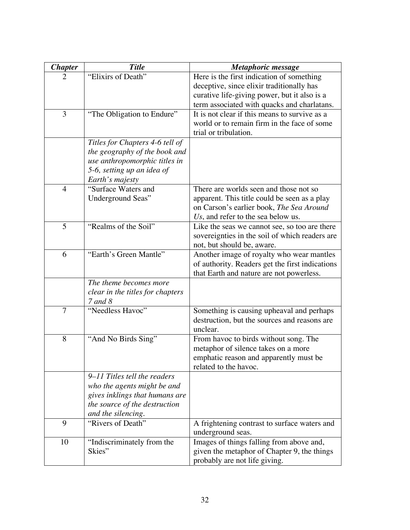| <b>Chapter</b> | <b>Title</b>                     | Metaphoric message                                                                     |
|----------------|----------------------------------|----------------------------------------------------------------------------------------|
| 2              | "Elixirs of Death"               | Here is the first indication of something                                              |
|                |                                  | deceptive, since elixir traditionally has                                              |
|                |                                  | curative life-giving power, but it also is a                                           |
|                |                                  | term associated with quacks and charlatans.                                            |
| 3              | "The Obligation to Endure"       | It is not clear if this means to survive as a                                          |
|                |                                  | world or to remain firm in the face of some                                            |
|                |                                  | trial or tribulation.                                                                  |
|                | Titles for Chapters 4-6 tell of  |                                                                                        |
|                | the geography of the book and    |                                                                                        |
|                | use anthropomorphic titles in    |                                                                                        |
|                | 5-6, setting up an idea of       |                                                                                        |
|                | Earth's majesty                  |                                                                                        |
| $\overline{4}$ | "Surface Waters and              | There are worlds seen and those not so<br>apparent. This title could be seen as a play |
|                | Underground Seas"                | on Carson's earlier book, The Sea Around                                               |
|                |                                  | Us, and refer to the sea below us.                                                     |
| 5              | "Realms of the Soil"             | Like the seas we cannot see, so too are there                                          |
|                |                                  | sovereignties in the soil of which readers are                                         |
|                |                                  | not, but should be, aware.                                                             |
| 6              | "Earth's Green Mantle"           | Another image of royalty who wear mantles                                              |
|                |                                  | of authority. Readers get the first indications                                        |
|                |                                  | that Earth and nature are not powerless.                                               |
|                | The theme becomes more           |                                                                                        |
|                | clear in the titles for chapters |                                                                                        |
|                | 7 and 8                          |                                                                                        |
| 7              | "Needless Havoc"                 | Something is causing upheaval and perhaps                                              |
|                |                                  | destruction, but the sources and reasons are                                           |
|                |                                  | unclear.                                                                               |
| 8              | "And No Birds Sing"              | From havoc to birds without song. The                                                  |
|                |                                  | metaphor of silence takes on a more                                                    |
|                |                                  | emphatic reason and apparently must be<br>related to the havoc.                        |
|                | 9–11 Titles tell the readers     |                                                                                        |
|                | who the agents might be and      |                                                                                        |
|                | gives inklings that humans are   |                                                                                        |
|                | the source of the destruction    |                                                                                        |
|                | and the silencing.               |                                                                                        |
| 9              | "Rivers of Death"                | A frightening contrast to surface waters and                                           |
|                |                                  | underground seas.                                                                      |
| 10             | "Indiscriminately from the       | Images of things falling from above and,                                               |
|                | Skies"                           | given the metaphor of Chapter 9, the things                                            |
|                |                                  | probably are not life giving.                                                          |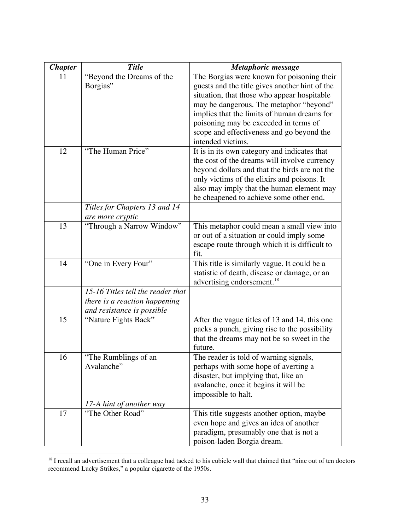| <b>Chapter</b> | <b>Title</b>                                                                                     | Metaphoric message                                                                                                                                                                                                                                                                                                                               |
|----------------|--------------------------------------------------------------------------------------------------|--------------------------------------------------------------------------------------------------------------------------------------------------------------------------------------------------------------------------------------------------------------------------------------------------------------------------------------------------|
| 11             | "Beyond the Dreams of the<br>Borgias"                                                            | The Borgias were known for poisoning their<br>guests and the title gives another hint of the<br>situation, that those who appear hospitable<br>may be dangerous. The metaphor "beyond"<br>implies that the limits of human dreams for<br>poisoning may be exceeded in terms of<br>scope and effectiveness and go beyond the<br>intended victims. |
| 12             | "The Human Price"                                                                                | It is in its own category and indicates that<br>the cost of the dreams will involve currency<br>beyond dollars and that the birds are not the<br>only victims of the elixirs and poisons. It<br>also may imply that the human element may<br>be cheapened to achieve some other end.                                                             |
|                | Titles for Chapters 13 and 14<br>are more cryptic                                                |                                                                                                                                                                                                                                                                                                                                                  |
| 13             | "Through a Narrow Window"                                                                        | This metaphor could mean a small view into<br>or out of a situation or could imply some<br>escape route through which it is difficult to<br>fit.                                                                                                                                                                                                 |
| 14             | "One in Every Four"                                                                              | This title is similarly vague. It could be a<br>statistic of death, disease or damage, or an<br>advertising endorsement. <sup>18</sup>                                                                                                                                                                                                           |
|                | 15-16 Titles tell the reader that<br>there is a reaction happening<br>and resistance is possible |                                                                                                                                                                                                                                                                                                                                                  |
| 15             | "Nature Fights Back"                                                                             | After the vague titles of 13 and 14, this one<br>packs a punch, giving rise to the possibility<br>that the dreams may not be so sweet in the<br>future.                                                                                                                                                                                          |
| 16             | "The Rumblings of an<br>Avalanche"                                                               | The reader is told of warning signals,<br>perhaps with some hope of averting a<br>disaster, but implying that, like an<br>avalanche, once it begins it will be<br>impossible to halt.                                                                                                                                                            |
|                | 17-A hint of another way                                                                         |                                                                                                                                                                                                                                                                                                                                                  |
| 17             | "The Other Road"                                                                                 | This title suggests another option, maybe<br>even hope and gives an idea of another<br>paradigm, presumably one that is not a<br>poison-laden Borgia dream.                                                                                                                                                                                      |

<sup>&</sup>lt;sup>18</sup> I recall an advertisement that a colleague had tacked to his cubicle wall that claimed that "nine out of ten doctors recommend Lucky Strikes," a popular cigarette of the 1950s.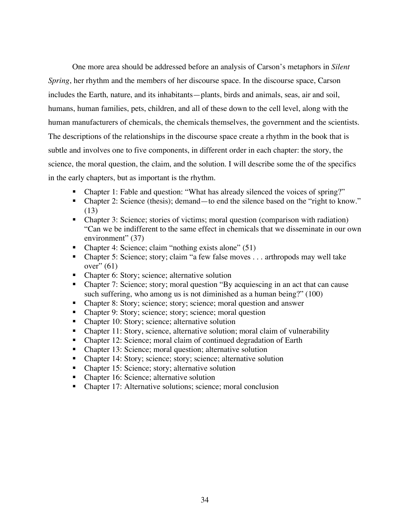One more area should be addressed before an analysis of Carson's metaphors in *Silent Spring*, her rhythm and the members of her discourse space. In the discourse space, Carson includes the Earth, nature, and its inhabitants—plants, birds and animals, seas, air and soil, humans, human families, pets, children, and all of these down to the cell level, along with the human manufacturers of chemicals, the chemicals themselves, the government and the scientists. The descriptions of the relationships in the discourse space create a rhythm in the book that is subtle and involves one to five components, in different order in each chapter: the story, the science, the moral question, the claim, and the solution. I will describe some the of the specifics in the early chapters, but as important is the rhythm.

- Chapter 1: Fable and question: "What has already silenced the voices of spring?"
- Chapter 2: Science (thesis); demand—to end the silence based on the "right to know." (13)
- Chapter 3: Science; stories of victims; moral question (comparison with radiation) "Can we be indifferent to the same effect in chemicals that we disseminate in our own environment" (37)
- Chapter 4: Science; claim "nothing exists alone" (51)
- Chapter 5: Science; story; claim "a few false moves . . . arthropods may well take over" $(61)$
- Chapter 6: Story; science; alternative solution
- Chapter 7: Science; story; moral question "By acquiescing in an act that can cause such suffering, who among us is not diminished as a human being?" (100)
- Chapter 8: Story; science; story; science; moral question and answer
- Chapter 9: Story; science; story; science; moral question
- Chapter 10: Story; science; alternative solution
- Chapter 11: Story, science, alternative solution; moral claim of vulnerability
- Chapter 12: Science; moral claim of continued degradation of Earth
- Chapter 13: Science; moral question; alternative solution
- Chapter 14: Story; science; story; science; alternative solution
- Chapter 15: Science; story; alternative solution
- Chapter 16: Science; alternative solution
- Chapter 17: Alternative solutions; science; moral conclusion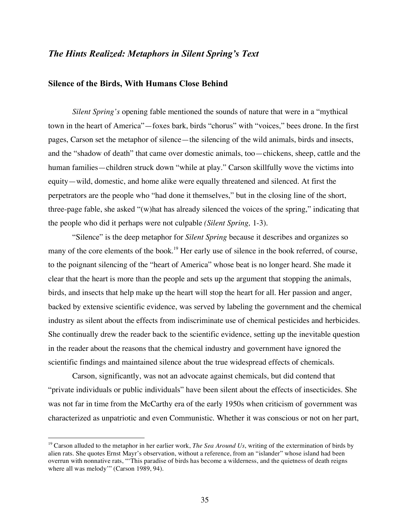#### *The Hints Realized: Metaphors in Silent Spring's Text*

#### **Silence of the Birds, With Humans Close Behind**

*Silent Spring's* opening fable mentioned the sounds of nature that were in a "mythical town in the heart of America"—foxes bark, birds "chorus" with "voices," bees drone. In the first pages, Carson set the metaphor of silence—the silencing of the wild animals, birds and insects, and the "shadow of death" that came over domestic animals, too—chickens, sheep, cattle and the human families—children struck down "while at play." Carson skillfully wove the victims into equity—wild, domestic, and home alike were equally threatened and silenced. At first the perpetrators are the people who "had done it themselves," but in the closing line of the short, three-page fable, she asked "(w)hat has already silenced the voices of the spring," indicating that the people who did it perhaps were not culpable *(Silent Spring,* 1-3).

"Silence" is the deep metaphor for *Silent Spring* because it describes and organizes so many of the core elements of the book.<sup>19</sup> Her early use of silence in the book referred, of course, to the poignant silencing of the "heart of America" whose beat is no longer heard. She made it clear that the heart is more than the people and sets up the argument that stopping the animals, birds, and insects that help make up the heart will stop the heart for all. Her passion and anger, backed by extensive scientific evidence, was served by labeling the government and the chemical industry as silent about the effects from indiscriminate use of chemical pesticides and herbicides. She continually drew the reader back to the scientific evidence, setting up the inevitable question in the reader about the reasons that the chemical industry and government have ignored the scientific findings and maintained silence about the true widespread effects of chemicals.

Carson, significantly, was not an advocate against chemicals, but did contend that "private individuals or public individuals" have been silent about the effects of insecticides. She was not far in time from the McCarthy era of the early 1950s when criticism of government was characterized as unpatriotic and even Communistic. Whether it was conscious or not on her part,

 <sup>19</sup> Carson alluded to the metaphor in her earlier work, *The Sea Around Us*, writing of the extermination of birds by alien rats. She quotes Ernst Mayr's observation, without a reference, from an "islander" whose island had been overrun with nonnative rats, "'This paradise of birds has become a wilderness, and the quietness of death reigns where all was melody'" (Carson 1989, 94).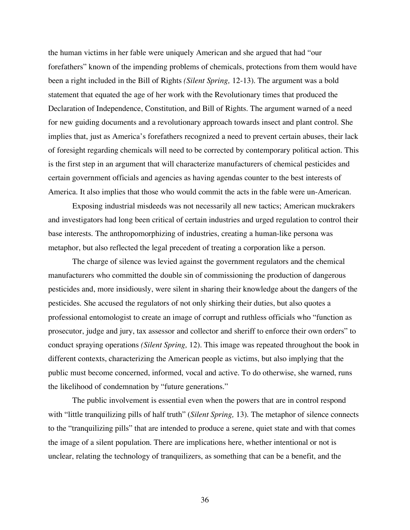the human victims in her fable were uniquely American and she argued that had "our forefathers" known of the impending problems of chemicals, protections from them would have been a right included in the Bill of Rights *(Silent Spring,* 12-13). The argument was a bold statement that equated the age of her work with the Revolutionary times that produced the Declaration of Independence, Constitution, and Bill of Rights. The argument warned of a need for new guiding documents and a revolutionary approach towards insect and plant control. She implies that, just as America's forefathers recognized a need to prevent certain abuses, their lack of foresight regarding chemicals will need to be corrected by contemporary political action. This is the first step in an argument that will characterize manufacturers of chemical pesticides and certain government officials and agencies as having agendas counter to the best interests of America. It also implies that those who would commit the acts in the fable were un-American.

Exposing industrial misdeeds was not necessarily all new tactics; American muckrakers and investigators had long been critical of certain industries and urged regulation to control their base interests. The anthropomorphizing of industries, creating a human-like persona was metaphor, but also reflected the legal precedent of treating a corporation like a person.

The charge of silence was levied against the government regulators and the chemical manufacturers who committed the double sin of commissioning the production of dangerous pesticides and, more insidiously, were silent in sharing their knowledge about the dangers of the pesticides. She accused the regulators of not only shirking their duties, but also quotes a professional entomologist to create an image of corrupt and ruthless officials who "function as prosecutor, judge and jury, tax assessor and collector and sheriff to enforce their own orders" to conduct spraying operations *(Silent Spring,* 12). This image was repeated throughout the book in different contexts, characterizing the American people as victims, but also implying that the public must become concerned, informed, vocal and active. To do otherwise, she warned, runs the likelihood of condemnation by "future generations."

The public involvement is essential even when the powers that are in control respond with "little tranquilizing pills of half truth" (*Silent Spring*, 13). The metaphor of silence connects to the "tranquilizing pills" that are intended to produce a serene, quiet state and with that comes the image of a silent population. There are implications here, whether intentional or not is unclear, relating the technology of tranquilizers, as something that can be a benefit, and the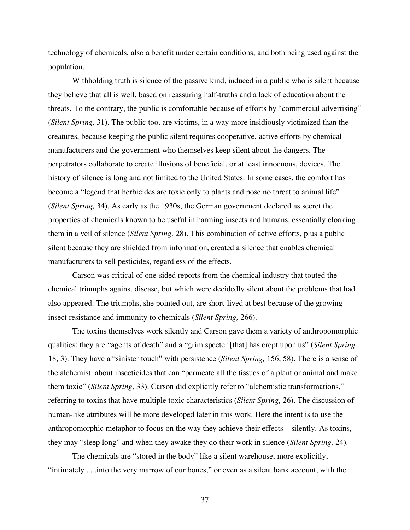technology of chemicals, also a benefit under certain conditions, and both being used against the population.

Withholding truth is silence of the passive kind, induced in a public who is silent because they believe that all is well, based on reassuring half-truths and a lack of education about the threats. To the contrary, the public is comfortable because of efforts by "commercial advertising" (*Silent Spring,* 31). The public too, are victims, in a way more insidiously victimized than the creatures, because keeping the public silent requires cooperative, active efforts by chemical manufacturers and the government who themselves keep silent about the dangers. The perpetrators collaborate to create illusions of beneficial, or at least innocuous, devices. The history of silence is long and not limited to the United States. In some cases, the comfort has become a "legend that herbicides are toxic only to plants and pose no threat to animal life" (*Silent Spring,* 34). As early as the 1930s, the German government declared as secret the properties of chemicals known to be useful in harming insects and humans, essentially cloaking them in a veil of silence (*Silent Spring,* 28). This combination of active efforts, plus a public silent because they are shielded from information, created a silence that enables chemical manufacturers to sell pesticides, regardless of the effects.

Carson was critical of one-sided reports from the chemical industry that touted the chemical triumphs against disease, but which were decidedly silent about the problems that had also appeared. The triumphs, she pointed out, are short-lived at best because of the growing insect resistance and immunity to chemicals (*Silent Spring,* 266).

The toxins themselves work silently and Carson gave them a variety of anthropomorphic qualities: they are "agents of death" and a "grim specter [that] has crept upon us" (*Silent Spring,* 18, 3). They have a "sinister touch" with persistence (*Silent Spring,* 156, 58). There is a sense of the alchemist about insecticides that can "permeate all the tissues of a plant or animal and make them toxic" (*Silent Spring,* 33). Carson did explicitly refer to "alchemistic transformations," referring to toxins that have multiple toxic characteristics (*Silent Spring,* 26). The discussion of human-like attributes will be more developed later in this work. Here the intent is to use the anthropomorphic metaphor to focus on the way they achieve their effects—silently. As toxins, they may "sleep long" and when they awake they do their work in silence (*Silent Spring,* 24).

The chemicals are "stored in the body" like a silent warehouse, more explicitly, "intimately . . .into the very marrow of our bones," or even as a silent bank account, with the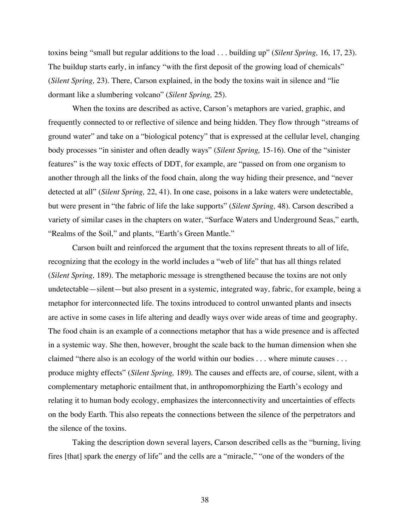toxins being "small but regular additions to the load . . . building up" (*Silent Spring,* 16, 17, 23). The buildup starts early, in infancy "with the first deposit of the growing load of chemicals" (*Silent Spring,* 23). There, Carson explained, in the body the toxins wait in silence and "lie dormant like a slumbering volcano" (*Silent Spring,* 25).

When the toxins are described as active, Carson's metaphors are varied, graphic, and frequently connected to or reflective of silence and being hidden. They flow through "streams of ground water" and take on a "biological potency" that is expressed at the cellular level, changing body processes "in sinister and often deadly ways" (*Silent Spring,* 15-16). One of the "sinister features" is the way toxic effects of DDT, for example, are "passed on from one organism to another through all the links of the food chain, along the way hiding their presence, and "never detected at all" (*Silent Spring,* 22, 41). In one case, poisons in a lake waters were undetectable, but were present in "the fabric of life the lake supports" (*Silent Spring,* 48). Carson described a variety of similar cases in the chapters on water, "Surface Waters and Underground Seas," earth, "Realms of the Soil," and plants, "Earth's Green Mantle."

Carson built and reinforced the argument that the toxins represent threats to all of life, recognizing that the ecology in the world includes a "web of life" that has all things related (*Silent Spring,* 189). The metaphoric message is strengthened because the toxins are not only undetectable—silent—but also present in a systemic, integrated way, fabric, for example, being a metaphor for interconnected life. The toxins introduced to control unwanted plants and insects are active in some cases in life altering and deadly ways over wide areas of time and geography. The food chain is an example of a connections metaphor that has a wide presence and is affected in a systemic way. She then, however, brought the scale back to the human dimension when she claimed "there also is an ecology of the world within our bodies . . . where minute causes . . . produce mighty effects" (*Silent Spring,* 189). The causes and effects are, of course, silent, with a complementary metaphoric entailment that, in anthropomorphizing the Earth's ecology and relating it to human body ecology, emphasizes the interconnectivity and uncertainties of effects on the body Earth. This also repeats the connections between the silence of the perpetrators and the silence of the toxins.

Taking the description down several layers, Carson described cells as the "burning, living fires [that] spark the energy of life" and the cells are a "miracle," "one of the wonders of the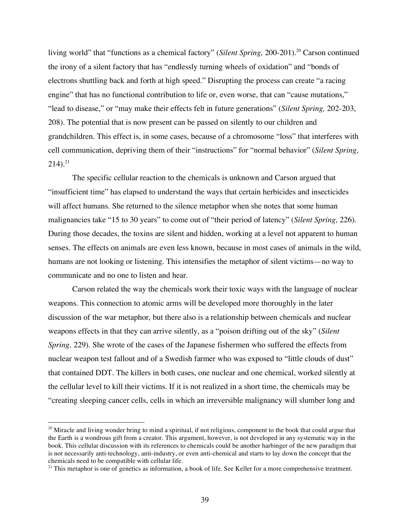living world" that "functions as a chemical factory" (*Silent Spring,* 200-201). <sup>20</sup> Carson continued the irony of a silent factory that has "endlessly turning wheels of oxidation" and "bonds of electrons shuttling back and forth at high speed." Disrupting the process can create "a racing engine" that has no functional contribution to life or, even worse, that can "cause mutations," "lead to disease," or "may make their effects felt in future generations" (*Silent Spring,* 202-203, 208). The potential that is now present can be passed on silently to our children and grandchildren. This effect is, in some cases, because of a chromosome "loss" that interferes with cell communication, depriving them of their "instructions" for "normal behavior" (*Silent Spring,*  $214)$ .<sup>21</sup>

The specific cellular reaction to the chemicals is unknown and Carson argued that "insufficient time" has elapsed to understand the ways that certain herbicides and insecticides will affect humans. She returned to the silence metaphor when she notes that some human malignancies take "15 to 30 years" to come out of "their period of latency" (*Silent Spring,* 226). During those decades, the toxins are silent and hidden, working at a level not apparent to human senses. The effects on animals are even less known, because in most cases of animals in the wild, humans are not looking or listening. This intensifies the metaphor of silent victims—no way to communicate and no one to listen and hear.

Carson related the way the chemicals work their toxic ways with the language of nuclear weapons. This connection to atomic arms will be developed more thoroughly in the later discussion of the war metaphor, but there also is a relationship between chemicals and nuclear weapons effects in that they can arrive silently, as a "poison drifting out of the sky" (*Silent Spring,* 229). She wrote of the cases of the Japanese fishermen who suffered the effects from nuclear weapon test fallout and of a Swedish farmer who was exposed to "little clouds of dust" that contained DDT. The killers in both cases, one nuclear and one chemical, worked silently at the cellular level to kill their victims. If it is not realized in a short time, the chemicals may be "creating sleeping cancer cells, cells in which an irreversible malignancy will slumber long and

 $20$  Miracle and living wonder bring to mind a spiritual, if not religious, component to the book that could argue that the Earth is a wondrous gift from a creator. This argument, however, is not developed in any systematic way in the book. This cellular discussion with its references to chemicals could be another harbinger of the new paradigm that is not necessarily anti-technology, anti-industry, or even anti-chemical and starts to lay down the concept that the chemicals need to be compatible with cellular life.

 $21$  This metaphor is one of genetics as information, a book of life. See Keller for a more comprehensive treatment.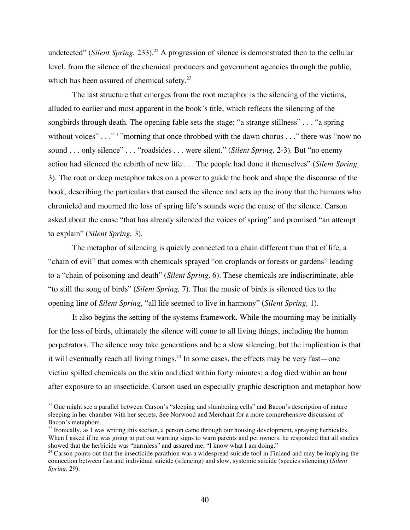undetected" (*Silent Spring,* 233). <sup>22</sup> A progression of silence is demonstrated then to the cellular level, from the silence of the chemical producers and government agencies through the public, which has been assured of chemical safety.<sup>23</sup>

The last structure that emerges from the root metaphor is the silencing of the victims, alluded to earlier and most apparent in the book's title, which reflects the silencing of the songbirds through death. The opening fable sets the stage: "a strange stillness" . . . "a spring without voices" . . ." '"morning that once throbbed with the dawn chorus . . ." there was "now no sound . . . only silence" . . . "roadsides . . . were silent." (*Silent Spring,* 2-3). But "no enemy action had silenced the rebirth of new life . . . The people had done it themselves" (*Silent Spring,* 3). The root or deep metaphor takes on a power to guide the book and shape the discourse of the book, describing the particulars that caused the silence and sets up the irony that the humans who chronicled and mourned the loss of spring life's sounds were the cause of the silence. Carson asked about the cause "that has already silenced the voices of spring" and promised "an attempt to explain" (*Silent Spring,* 3).

The metaphor of silencing is quickly connected to a chain different than that of life, a "chain of evil" that comes with chemicals sprayed "on croplands or forests or gardens" leading to a "chain of poisoning and death" (*Silent Spring,* 6). These chemicals are indiscriminate, able "to still the song of birds" (*Silent Spring,* 7). That the music of birds is silenced ties to the opening line of *Silent Spring*, "all life seemed to live in harmony" (*Silent Spring,* 1).

It also begins the setting of the systems framework. While the mourning may be initially for the loss of birds, ultimately the silence will come to all living things, including the human perpetrators. The silence may take generations and be a slow silencing, but the implication is that it will eventually reach all living things.<sup>24</sup> In some cases, the effects may be very fast—one victim spilled chemicals on the skin and died within forty minutes; a dog died within an hour after exposure to an insecticide. Carson used an especially graphic description and metaphor how

 $22$  One might see a parallel between Carson's "sleeping and slumbering cells" and Bacon's description of nature sleeping in her chamber with her secrets. See Norwood and Merchant for a more comprehensive discussion of Bacon's metaphors.

 $^{23}$  Ironically, as I was writing this section, a person came through our housing development, spraying herbicides. When I asked if he was going to put out warning signs to warn parents and pet owners, he responded that all studies showed that the herbicide was "harmless" and assured me, "I know what I am doing."

 $24$  Carson points out that the insecticide parathion was a widespread suicide tool in Finland and may be implying the connection between fast and individual suicide (silencing) and slow, systemic suicide (species silencing) (*Silent Spring,* 29).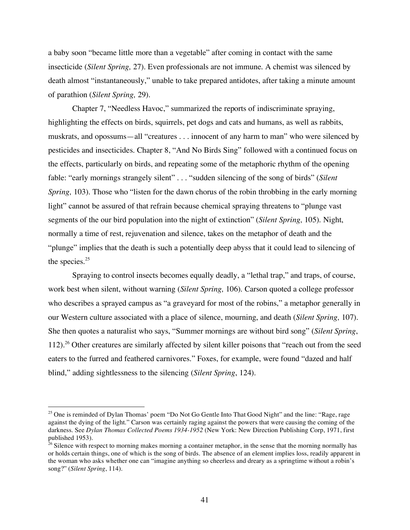a baby soon "became little more than a vegetable" after coming in contact with the same insecticide (*Silent Spring,* 27). Even professionals are not immune. A chemist was silenced by death almost "instantaneously," unable to take prepared antidotes, after taking a minute amount of parathion (*Silent Spring,* 29).

Chapter 7, "Needless Havoc," summarized the reports of indiscriminate spraying, highlighting the effects on birds, squirrels, pet dogs and cats and humans, as well as rabbits, muskrats, and opossums—all "creatures . . . innocent of any harm to man" who were silenced by pesticides and insecticides. Chapter 8, "And No Birds Sing" followed with a continued focus on the effects, particularly on birds, and repeating some of the metaphoric rhythm of the opening fable: "early mornings strangely silent" . . . "sudden silencing of the song of birds" (*Silent Spring,* 103). Those who "listen for the dawn chorus of the robin throbbing in the early morning light" cannot be assured of that refrain because chemical spraying threatens to "plunge vast" segments of the our bird population into the night of extinction" (*Silent Spring,* 105). Night, normally a time of rest, rejuvenation and silence, takes on the metaphor of death and the "plunge" implies that the death is such a potentially deep abyss that it could lead to silencing of the species. 25

Spraying to control insects becomes equally deadly, a "lethal trap," and traps, of course, work best when silent, without warning (*Silent Spring,* 106). Carson quoted a college professor who describes a sprayed campus as "a graveyard for most of the robins," a metaphor generally in our Western culture associated with a place of silence, mourning, and death (*Silent Spring,* 107). She then quotes a naturalist who says, "Summer mornings are without bird song" (*Silent Spring*, 112). <sup>26</sup> Other creatures are similarly affected by silent killer poisons that "reach out from the seed eaters to the furred and feathered carnivores." Foxes, for example, were found "dazed and half blind," adding sightlessness to the silencing (*Silent Spring*, 124).

<sup>&</sup>lt;sup>25</sup> One is reminded of Dylan Thomas' poem "Do Not Go Gentle Into That Good Night" and the line: "Rage, rage against the dying of the light." Carson was certainly raging against the powers that were causing the coming of the darkness. See *Dylan Thomas Collected Poems 1934-1952* (New York: New Direction Publishing Corp, 1971, first published 1953).

 $26$  Silence with respect to morning makes morning a container metaphor, in the sense that the morning normally has or holds certain things, one of which is the song of birds. The absence of an element implies loss, readily apparent in the woman who asks whether one can "imagine anything so cheerless and dreary as a springtime without a robin's song?" (*Silent Spring*, 114).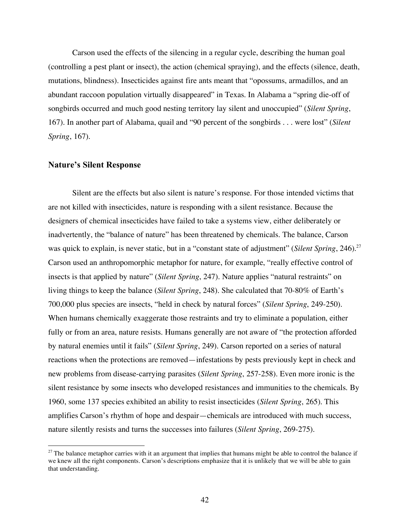Carson used the effects of the silencing in a regular cycle, describing the human goal (controlling a pest plant or insect), the action (chemical spraying), and the effects (silence, death, mutations, blindness). Insecticides against fire ants meant that "opossums, armadillos, and an abundant raccoon population virtually disappeared" in Texas. In Alabama a "spring die-off of songbirds occurred and much good nesting territory lay silent and unoccupied" (*Silent Spring*, 167). In another part of Alabama, quail and "90 percent of the songbirds . . . were lost" (*Silent Spring*, 167).

#### **Nature's Silent Response**

Silent are the effects but also silent is nature's response. For those intended victims that are not killed with insecticides, nature is responding with a silent resistance. Because the designers of chemical insecticides have failed to take a systems view, either deliberately or inadvertently, the "balance of nature" has been threatened by chemicals. The balance, Carson was quick to explain, is never static, but in a "constant state of adjustment" (*Silent Spring*, 246). 27 Carson used an anthropomorphic metaphor for nature, for example, "really effective control of insects is that applied by nature" (*Silent Spring*, 247). Nature applies "natural restraints" on living things to keep the balance (*Silent Spring*, 248). She calculated that 70-80% of Earth's 700,000 plus species are insects, "held in check by natural forces" (*Silent Spring*, 249-250). When humans chemically exaggerate those restraints and try to eliminate a population, either fully or from an area, nature resists. Humans generally are not aware of "the protection afforded by natural enemies until it fails" (*Silent Spring*, 249). Carson reported on a series of natural reactions when the protections are removed—infestations by pests previously kept in check and new problems from disease-carrying parasites (*Silent Spring*, 257-258). Even more ironic is the silent resistance by some insects who developed resistances and immunities to the chemicals. By 1960, some 137 species exhibited an ability to resist insecticides (*Silent Spring*, 265). This amplifies Carson's rhythm of hope and despair—chemicals are introduced with much success, nature silently resists and turns the successes into failures (*Silent Spring*, 269-275).

 $27$  The balance metaphor carries with it an argument that implies that humans might be able to control the balance if we knew all the right components. Carson's descriptions emphasize that it is unlikely that we will be able to gain that understanding.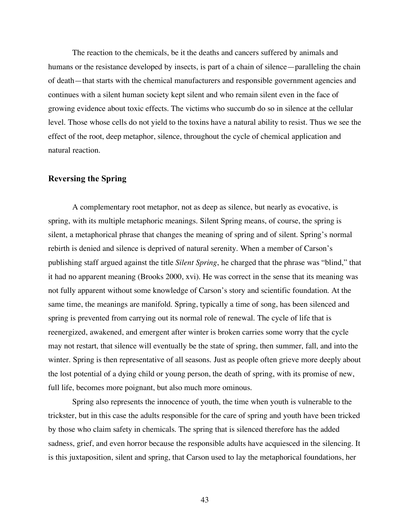The reaction to the chemicals, be it the deaths and cancers suffered by animals and humans or the resistance developed by insects, is part of a chain of silence—paralleling the chain of death—that starts with the chemical manufacturers and responsible government agencies and continues with a silent human society kept silent and who remain silent even in the face of growing evidence about toxic effects. The victims who succumb do so in silence at the cellular level. Those whose cells do not yield to the toxins have a natural ability to resist. Thus we see the effect of the root, deep metaphor, silence, throughout the cycle of chemical application and natural reaction.

#### **Reversing the Spring**

A complementary root metaphor, not as deep as silence, but nearly as evocative, is spring, with its multiple metaphoric meanings. Silent Spring means, of course, the spring is silent, a metaphorical phrase that changes the meaning of spring and of silent. Spring's normal rebirth is denied and silence is deprived of natural serenity. When a member of Carson's publishing staff argued against the title *Silent Spring*, he charged that the phrase was "blind," that it had no apparent meaning (Brooks 2000, xvi). He was correct in the sense that its meaning was not fully apparent without some knowledge of Carson's story and scientific foundation. At the same time, the meanings are manifold. Spring, typically a time of song, has been silenced and spring is prevented from carrying out its normal role of renewal. The cycle of life that is reenergized, awakened, and emergent after winter is broken carries some worry that the cycle may not restart, that silence will eventually be the state of spring, then summer, fall, and into the winter. Spring is then representative of all seasons. Just as people often grieve more deeply about the lost potential of a dying child or young person, the death of spring, with its promise of new, full life, becomes more poignant, but also much more ominous.

Spring also represents the innocence of youth, the time when youth is vulnerable to the trickster, but in this case the adults responsible for the care of spring and youth have been tricked by those who claim safety in chemicals. The spring that is silenced therefore has the added sadness, grief, and even horror because the responsible adults have acquiesced in the silencing. It is this juxtaposition, silent and spring, that Carson used to lay the metaphorical foundations, her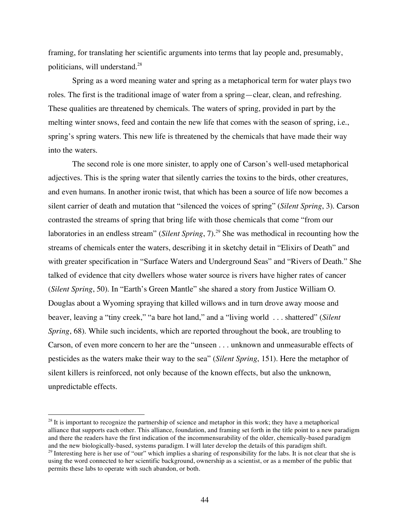framing, for translating her scientific arguments into terms that lay people and, presumably, politicians, will understand.<sup>28</sup>

Spring as a word meaning water and spring as a metaphorical term for water plays two roles. The first is the traditional image of water from a spring—clear, clean, and refreshing. These qualities are threatened by chemicals. The waters of spring, provided in part by the melting winter snows, feed and contain the new life that comes with the season of spring, i.e., spring's spring waters. This new life is threatened by the chemicals that have made their way into the waters.

The second role is one more sinister, to apply one of Carson's well-used metaphorical adjectives. This is the spring water that silently carries the toxins to the birds, other creatures, and even humans. In another ironic twist, that which has been a source of life now becomes a silent carrier of death and mutation that "silenced the voices of spring" (*Silent Spring*, 3). Carson contrasted the streams of spring that bring life with those chemicals that come "from our laboratories in an endless stream" (*Silent Spring*, 7). <sup>29</sup> She was methodical in recounting how the streams of chemicals enter the waters, describing it in sketchy detail in "Elixirs of Death" and with greater specification in "Surface Waters and Underground Seas" and "Rivers of Death." She talked of evidence that city dwellers whose water source is rivers have higher rates of cancer (*Silent Spring*, 50). In "Earth's Green Mantle" she shared a story from Justice William O. Douglas about a Wyoming spraying that killed willows and in turn drove away moose and beaver, leaving a "tiny creek," "a bare hot land," and a "living world . . . shattered" (*Silent Spring*, 68). While such incidents, which are reported throughout the book, are troubling to Carson, of even more concern to her are the "unseen . . . unknown and unmeasurable effects of pesticides as the waters make their way to the sea" (*Silent Spring*, 151). Here the metaphor of silent killers is reinforced, not only because of the known effects, but also the unknown, unpredictable effects.

 $28$  It is important to recognize the partnership of science and metaphor in this work; they have a metaphorical alliance that supports each other. This alliance, foundation, and framing set forth in the title point to a new paradigm and there the readers have the first indication of the incommensurability of the older, chemically-based paradigm and the new biologically-based, systems paradigm. I will later develop the details of this paradigm shift.

 $29$  Interesting here is her use of "our" which implies a sharing of responsibility for the labs. It is not clear that she is using the word connected to her scientific background, ownership as a scientist, or as a member of the public that permits these labs to operate with such abandon, or both.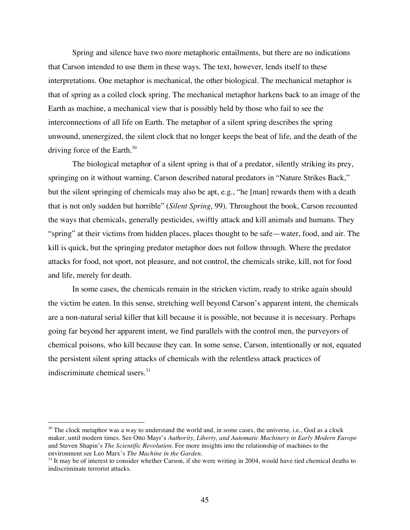Spring and silence have two more metaphoric entailments, but there are no indications that Carson intended to use them in these ways. The text, however, lends itself to these interpretations. One metaphor is mechanical, the other biological. The mechanical metaphor is that of spring as a coiled clock spring. The mechanical metaphor harkens back to an image of the Earth as machine, a mechanical view that is possibly held by those who fail to see the interconnections of all life on Earth. The metaphor of a silent spring describes the spring unwound, unenergized, the silent clock that no longer keeps the beat of life, and the death of the driving force of the Earth. $30$ 

The biological metaphor of a silent spring is that of a predator, silently striking its prey, springing on it without warning. Carson described natural predators in "Nature Strikes Back," but the silent springing of chemicals may also be apt, e.g., "he [man] rewards them with a death that is not only sudden but horrible" (*Silent Spring*, 99). Throughout the book, Carson recounted the ways that chemicals, generally pesticides, swiftly attack and kill animals and humans. They "spring" at their victims from hidden places, places thought to be safe—water, food, and air. The kill is quick, but the springing predator metaphor does not follow through. Where the predator attacks for food, not sport, not pleasure, and not control, the chemicals strike, kill, not for food and life, merely for death.

In some cases, the chemicals remain in the stricken victim, ready to strike again should the victim be eaten. In this sense, stretching well beyond Carson's apparent intent, the chemicals are a non-natural serial killer that kill because it is possible, not because it is necessary. Perhaps going far beyond her apparent intent, we find parallels with the control men, the purveyors of chemical poisons, who kill because they can. In some sense, Carson, intentionally or not, equated the persistent silent spring attacks of chemicals with the relentless attack practices of indiscriminate chemical users. 31

<sup>&</sup>lt;sup>30</sup> The clock metaphor was a way to understand the world and, in some cases, the universe, i.e., God as a clock maker, until modern times. See Otto Mayr's *Authority, Liberty, and Automatic Machinery in Early Modern Europe* and Steven Shapin's *The Scientific Revolution*. For more insights into the relationship of machines to the environment see Leo Marx's *The Machine in the Garden*.

<sup>&</sup>lt;sup>31</sup> It may be of interest to consider whether Carson, if she were writing in 2004, would have tied chemical deaths to indiscriminate terrorist attacks.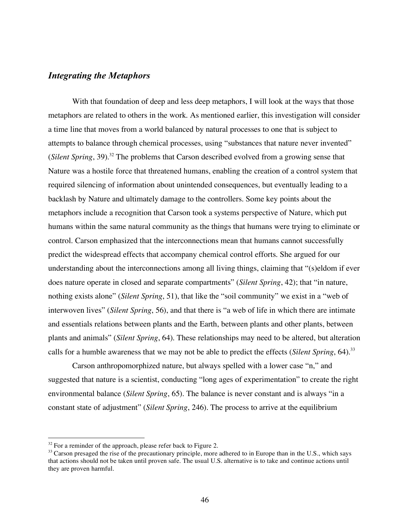#### *Integrating the Metaphors*

With that foundation of deep and less deep metaphors, I will look at the ways that those metaphors are related to others in the work. As mentioned earlier, this investigation will consider a time line that moves from a world balanced by natural processes to one that is subject to attempts to balance through chemical processes, using "substances that nature never invented" (*Silent Spring*, 39). <sup>32</sup> The problems that Carson described evolved from a growing sense that Nature was a hostile force that threatened humans, enabling the creation of a control system that required silencing of information about unintended consequences, but eventually leading to a backlash by Nature and ultimately damage to the controllers. Some key points about the metaphors include a recognition that Carson took a systems perspective of Nature, which put humans within the same natural community as the things that humans were trying to eliminate or control. Carson emphasized that the interconnections mean that humans cannot successfully predict the widespread effects that accompany chemical control efforts. She argued for our understanding about the interconnections among all living things, claiming that "(s)eldom if ever does nature operate in closed and separate compartments" (*Silent Spring*, 42); that "in nature, nothing exists alone" (*Silent Spring*, 51), that like the "soil community" we exist in a "web of interwoven lives" (*Silent Spring*, 56), and that there is "a web of life in which there are intimate and essentials relations between plants and the Earth, between plants and other plants, between plants and animals" (*Silent Spring*, 64). These relationships may need to be altered, but alteration calls for a humble awareness that we may not be able to predict the effects (*Silent Spring*, 64). 33

Carson anthropomorphized nature, but always spelled with a lower case "n," and suggested that nature is a scientist, conducting "long ages of experimentation" to create the right environmental balance (*Silent Spring*, 65). The balance is never constant and is always "in a constant state of adjustment" (*Silent Spring*, 246). The process to arrive at the equilibrium

 $32$  For a reminder of the approach, please refer back to Figure 2.

 $33$  Carson presaged the rise of the precautionary principle, more adhered to in Europe than in the U.S., which says that actions should not be taken until proven safe. The usual U.S. alternative is to take and continue actions until they are proven harmful.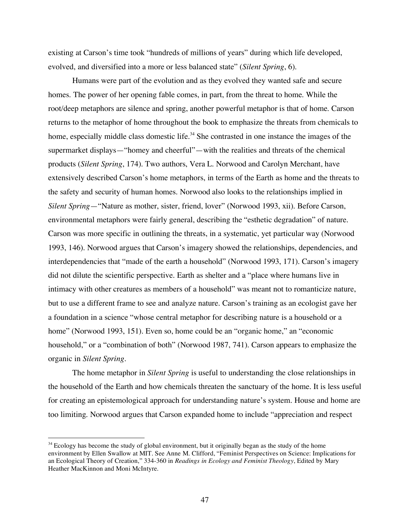existing at Carson's time took "hundreds of millions of years" during which life developed, evolved, and diversified into a more or less balanced state" (*Silent Spring*, 6).

Humans were part of the evolution and as they evolved they wanted safe and secure homes. The power of her opening fable comes, in part, from the threat to home. While the root/deep metaphors are silence and spring, another powerful metaphor is that of home. Carson returns to the metaphor of home throughout the book to emphasize the threats from chemicals to home, especially middle class domestic life.<sup>34</sup> She contrasted in one instance the images of the supermarket displays—"homey and cheerful"—with the realities and threats of the chemical products (*Silent Spring*, 174). Two authors, Vera L. Norwood and Carolyn Merchant, have extensively described Carson's home metaphors, in terms of the Earth as home and the threats to the safety and security of human homes. Norwood also looks to the relationships implied in *Silent Spring*—"Nature as mother, sister, friend, lover" (Norwood 1993, xii). Before Carson, environmental metaphors were fairly general, describing the "esthetic degradation" of nature. Carson was more specific in outlining the threats, in a systematic, yet particular way (Norwood 1993, 146). Norwood argues that Carson's imagery showed the relationships, dependencies, and interdependencies that "made of the earth a household" (Norwood 1993, 171). Carson's imagery did not dilute the scientific perspective. Earth as shelter and a "place where humans live in intimacy with other creatures as members of a household" was meant not to romanticize nature, but to use a different frame to see and analyze nature. Carson's training as an ecologist gave her a foundation in a science "whose central metaphor for describing nature is a household or a home" (Norwood 1993, 151). Even so, home could be an "organic home," an "economic household," or a "combination of both" (Norwood 1987, 741). Carson appears to emphasize the organic in *Silent Spring.*

The home metaphor in *Silent Spring* is useful to understanding the close relationships in the household of the Earth and how chemicals threaten the sanctuary of the home. It is less useful for creating an epistemological approach for understanding nature's system. House and home are too limiting. Norwood argues that Carson expanded home to include "appreciation and respect

<sup>&</sup>lt;sup>34</sup> Ecology has become the study of global environment, but it originally began as the study of the home environment by Ellen Swallow at MIT. See Anne M. Clifford, "Feminist Perspectives on Science: Implications for an Ecological Theory of Creation," 334-360 in *Readings in Ecology and Feminist Theology*, Edited by Mary Heather MacKinnon and Moni McIntyre.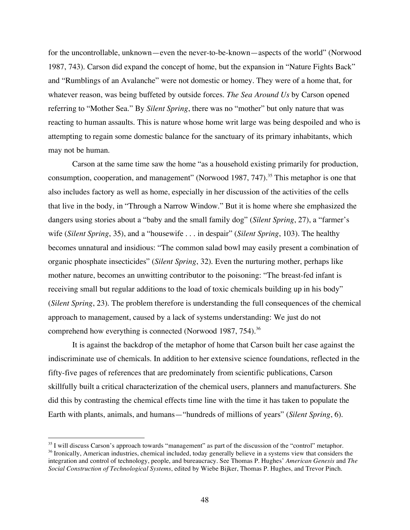for the uncontrollable, unknown—even the never-to-be-known—aspects of the world" (Norwood 1987, 743). Carson did expand the concept of home, but the expansion in "Nature Fights Back" and "Rumblings of an Avalanche" were not domestic or homey. They were of a home that, for whatever reason, was being buffeted by outside forces. *The Sea Around Us* by Carson opened referring to "Mother Sea." By *Silent Spring*, there was no "mother" but only nature that was reacting to human assaults. This is nature whose home writ large was being despoiled and who is attempting to regain some domestic balance for the sanctuary of its primary inhabitants, which may not be human.

Carson at the same time saw the home "as a household existing primarily for production, consumption, cooperation, and management" (Norwood 1987, 747).<sup>35</sup> This metaphor is one that also includes factory as well as home, especially in her discussion of the activities of the cells that live in the body, in "Through a Narrow Window." But it is home where she emphasized the dangers using stories about a "baby and the small family dog" (*Silent Spring*, 27), a "farmer's wife (*Silent Spring*, 35), and a "housewife . . . in despair" (*Silent Spring*, 103). The healthy becomes unnatural and insidious: "The common salad bowl may easily present a combination of organic phosphate insecticides" (*Silent Spring*, 32). Even the nurturing mother, perhaps like mother nature, becomes an unwitting contributor to the poisoning: "The breast-fed infant is receiving small but regular additions to the load of toxic chemicals building up in his body" (*Silent Spring*, 23). The problem therefore is understanding the full consequences of the chemical approach to management, caused by a lack of systems understanding: We just do not comprehend how everything is connected (Norwood 1987, 754).<sup>36</sup>

It is against the backdrop of the metaphor of home that Carson built her case against the indiscriminate use of chemicals. In addition to her extensive science foundations, reflected in the fifty-five pages of references that are predominately from scientific publications, Carson skillfully built a critical characterization of the chemical users, planners and manufacturers. She did this by contrasting the chemical effects time line with the time it has taken to populate the Earth with plants, animals, and humans—"hundreds of millions of years" (*Silent Spring*, 6).

<sup>&</sup>lt;sup>35</sup> I will discuss Carson's approach towards "management" as part of the discussion of the "control" metaphor. <sup>36</sup> Ironically, American industries, chemical included, today generally believe in a systems view that considers the integration and control of technology, people, and bureaucracy. See Thomas P. Hughes' *American Genesis* and *The Social Construction of Technological Systems*, edited by Wiebe Bijker, Thomas P. Hughes, and Trevor Pinch.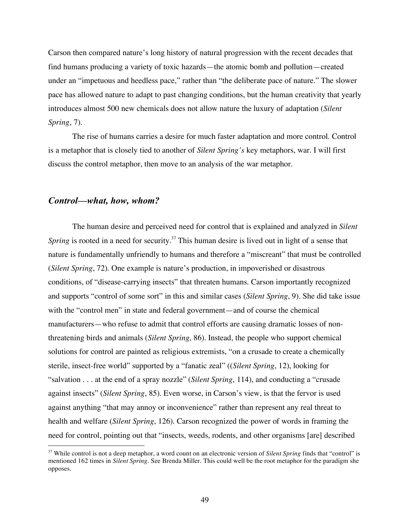Carson then compared nature's long history of natural progression with the recent decades that find humans producing a variety of toxic hazards—the atomic bomb and pollution—created under an "impetuous and heedless pace," rather than "the deliberate pace of nature." The slower pace has allowed nature to adapt to past changing conditions, but the human creativity that yearly introduces almost 500 new chemicals does not allow nature the luxury of adaptation (*Silent Spring*, 7).

The rise of humans carries a desire for much faster adaptation and more control. Control is a metaphor that is closely tied to another of *Silent Spring's* key metaphors, war. I will first discuss the control metaphor, then move to an analysis of the war metaphor.

#### *Control—what, how, whom?*

The human desire and perceived need for control that is explained and analyzed in *Silent* Spring is rooted in a need for security.<sup>37</sup> This human desire is lived out in light of a sense that nature is fundamentally unfriendly to humans and therefore a "miscreant" that must be controlled (*Silent Spring*, 72). One example is nature's production, in impoverished or disastrous conditions, of "disease-carrying insects" that threaten humans. Carson importantly recognized and supports "control of some sort" in this and similar cases (*Silent Spring*, 9). She did take issue with the "control men" in state and federal government—and of course the chemical manufacturers—who refuse to admit that control efforts are causing dramatic losses of nonthreatening birds and animals (*Silent Spring*, 86). Instead, the people who support chemical solutions for control are painted as religious extremists, "on a crusade to create a chemically sterile, insect-free world" supported by a "fanatic zeal" ((*Silent Spring*, 12), looking for "salvation . . . at the end of a spray nozzle" (*Silent Spring*, 114), and conducting a "crusade against insects" (*Silent Spring*, 85). Even worse, in Carson's view, is that the fervor is used against anything "that may annoy or inconvenience" rather than represent any real threat to health and welfare (*Silent Spring*, 126). Carson recognized the power of words in framing the need for control, pointing out that "insects, weeds, rodents, and other organisms [are] described

 <sup>37</sup> While control is not <sup>a</sup> deep metaphor, <sup>a</sup> word count on an electronic version of *Silent Spring* finds that "control" is mentioned 162 times in *Silent Spring.* See Brenda Miller. This could well be the root metaphor for the paradigm she opposes.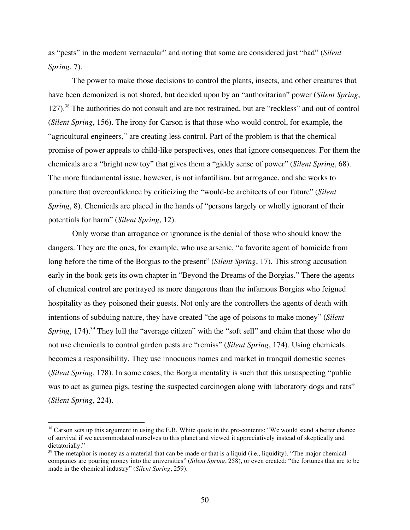as "pests" in the modern vernacular" and noting that some are considered just "bad" (*Silent Spring*, 7).

The power to make those decisions to control the plants, insects, and other creatures that have been demonized is not shared, but decided upon by an "authoritarian" power (*Silent Spring*, 127).<sup>38</sup> The authorities do not consult and are not restrained, but are "reckless" and out of control (*Silent Spring*, 156). The irony for Carson is that those who would control, for example, the "agricultural engineers," are creating less control. Part of the problem is that the chemical promise of power appeals to child-like perspectives, ones that ignore consequences. For them the chemicals are a "bright new toy" that gives them a "giddy sense of power" (*Silent Spring*, 68). The more fundamental issue, however, is not infantilism, but arrogance, and she works to puncture that overconfidence by criticizing the "would-be architects of our future" (*Silent Spring*, 8). Chemicals are placed in the hands of "persons largely or wholly ignorant of their potentials for harm" (*Silent Spring*, 12).

Only worse than arrogance or ignorance is the denial of those who should know the dangers. They are the ones, for example, who use arsenic, "a favorite agent of homicide from long before the time of the Borgias to the present" (*Silent Spring*, 17). This strong accusation early in the book gets its own chapter in "Beyond the Dreams of the Borgias." There the agents of chemical control are portrayed as more dangerous than the infamous Borgias who feigned hospitality as they poisoned their guests. Not only are the controllers the agents of death with intentions of subduing nature, they have created "the age of poisons to make money" (*Silent* Spring, 174).<sup>39</sup> They lull the "average citizen" with the "soft sell" and claim that those who do not use chemicals to control garden pests are "remiss" (*Silent Spring*, 174). Using chemicals becomes a responsibility. They use innocuous names and market in tranquil domestic scenes (*Silent Spring*, 178). In some cases, the Borgia mentality is such that this unsuspecting "public was to act as guinea pigs, testing the suspected carcinogen along with laboratory dogs and rats" (*Silent Spring*, 224).

 $38$  Carson sets up this argument in using the E.B. White quote in the pre-contents: "We would stand a better chance of survival if we accommodated ourselves to this planet and viewed it appreciatively instead of skeptically and dictatorially."

 $39$  The metaphor is money as a material that can be made or that is a liquid (i.e., liquidity). "The major chemical companies are pouring money into the universities" (*Silent Spring*, 258), or even created: "the fortunes that are to be made in the chemical industry" (*Silent Spring*, 259).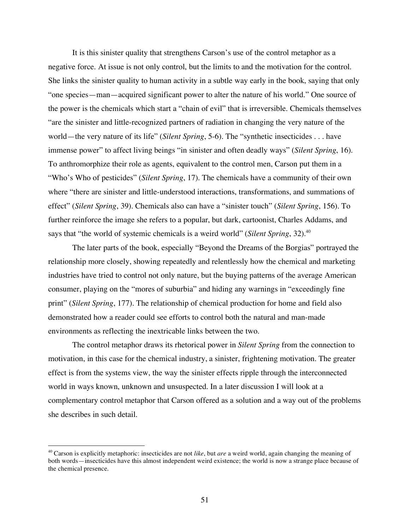It is this sinister quality that strengthens Carson's use of the control metaphor as a negative force. At issue is not only control, but the limits to and the motivation for the control. She links the sinister quality to human activity in a subtle way early in the book, saying that only "one species—man—acquired significant power to alter the nature of his world." One source of the power is the chemicals which start a "chain of evil" that is irreversible. Chemicals themselves "are the sinister and little-recognized partners of radiation in changing the very nature of the world—the very nature of its life" (*Silent Spring*, 5-6). The "synthetic insecticides . . . have immense power" to affect living beings "in sinister and often deadly ways" (*Silent Spring*, 16). To anthromorphize their role as agents, equivalent to the control men, Carson put them in a "Who's Who of pesticides" (*Silent Spring*, 17). The chemicals have a community of their own where "there are sinister and little-understood interactions, transformations, and summations of effect" (*Silent Spring*, 39). Chemicals also can have a "sinister touch" (*Silent Spring*, 156). To further reinforce the image she refers to a popular, but dark, cartoonist, Charles Addams, and says that "the world of systemic chemicals is a weird world" (*Silent Spring*, 32). 40

The later parts of the book, especially "Beyond the Dreams of the Borgias" portrayed the relationship more closely, showing repeatedly and relentlessly how the chemical and marketing industries have tried to control not only nature, but the buying patterns of the average American consumer, playing on the "mores of suburbia" and hiding any warnings in "exceedingly fine print" (*Silent Spring*, 177). The relationship of chemical production for home and field also demonstrated how a reader could see efforts to control both the natural and man-made environments as reflecting the inextricable links between the two.

The control metaphor draws its rhetorical power in *Silent Spring* from the connection to motivation, in this case for the chemical industry, a sinister, frightening motivation. The greater effect is from the systems view, the way the sinister effects ripple through the interconnected world in ways known, unknown and unsuspected. In a later discussion I will look at a complementary control metaphor that Carson offered as a solution and a way out of the problems she describes in such detail.

 <sup>40</sup> Carson is explicitly metaphoric: insecticides are not *like*, but *are* <sup>a</sup> weird world, again changing the meaning of both words—insecticides have this almost independent weird existence; the world is now a strange place because of the chemical presence.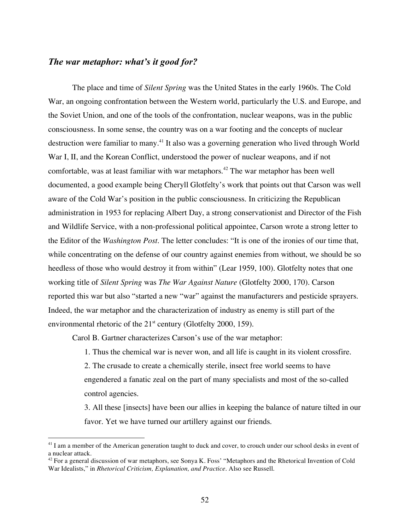#### *The war metaphor: what's it good for?*

The place and time of *Silent Spring* was the United States in the early 1960s. The Cold War, an ongoing confrontation between the Western world, particularly the U.S. and Europe, and the Soviet Union, and one of the tools of the confrontation, nuclear weapons, was in the public consciousness. In some sense, the country was on a war footing and the concepts of nuclear destruction were familiar to many.<sup>41</sup> It also was a governing generation who lived through World War I, II, and the Korean Conflict, understood the power of nuclear weapons, and if not comfortable, was at least familiar with war metaphors. <sup>42</sup> The war metaphor has been well documented, a good example being Cheryll Glotfelty's work that points out that Carson was well aware of the Cold War's position in the public consciousness. In criticizing the Republican administration in 1953 for replacing Albert Day, a strong conservationist and Director of the Fish and Wildlife Service, with a non-professional political appointee, Carson wrote a strong letter to the Editor of the *Washington Post*. The letter concludes: "It is one of the ironies of our time that, while concentrating on the defense of our country against enemies from without, we should be so heedless of those who would destroy it from within" (Lear 1959, 100). Glotfelty notes that one working title of *Silent Spring* was *The War Against Nature* (Glotfelty 2000, 170). Carson reported this war but also "started a new "war" against the manufacturers and pesticide sprayers. Indeed, the war metaphor and the characterization of industry as enemy is still part of the environmental rhetoric of the  $21<sup>st</sup>$  century (Glotfelty 2000, 159).

Carol B. Gartner characterizes Carson's use of the war metaphor:

1. Thus the chemical war is never won, and all life is caught in its violent crossfire. 2. The crusade to create a chemically sterile, insect free world seems to have engendered a fanatic zeal on the part of many specialists and most of the so-called control agencies.

3. All these [insects] have been our allies in keeping the balance of nature tilted in our favor. Yet we have turned our artillery against our friends.

<sup>&</sup>lt;sup>41</sup> I am a member of the American generation taught to duck and cover, to crouch under our school desks in event of a nuclear attack.

 $42$  For a general discussion of war metaphors, see Sonya K. Foss' "Metaphors and the Rhetorical Invention of Cold War Idealists," in *Rhetorical Criticism, Explanation, and Practice.* Also see Russell.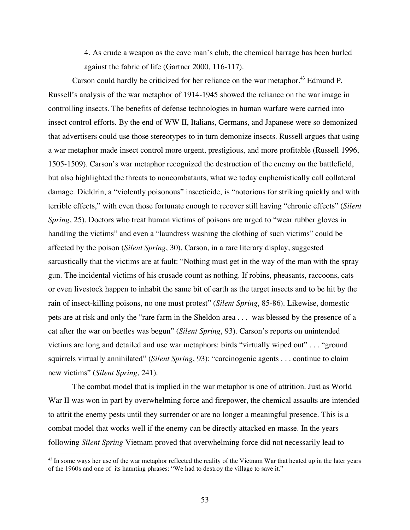4. As crude a weapon as the cave man's club, the chemical barrage has been hurled against the fabric of life (Gartner 2000, 116-117).

Carson could hardly be criticized for her reliance on the war metaphor.<sup>43</sup> Edmund P. Russell's analysis of the war metaphor of 1914-1945 showed the reliance on the war image in controlling insects. The benefits of defense technologies in human warfare were carried into insect control efforts. By the end of WW II, Italians, Germans, and Japanese were so demonized that advertisers could use those stereotypes to in turn demonize insects. Russell argues that using a war metaphor made insect control more urgent, prestigious, and more profitable (Russell 1996, 1505-1509). Carson's war metaphor recognized the destruction of the enemy on the battlefield, but also highlighted the threats to noncombatants, what we today euphemistically call collateral damage. Dieldrin, a "violently poisonous" insecticide, is "notorious for striking quickly and with terrible effects," with even those fortunate enough to recover still having "chronic effects" (*Silent Spring*, 25). Doctors who treat human victims of poisons are urged to "wear rubber gloves in handling the victims" and even a "laundress washing the clothing of such victims" could be affected by the poison (*Silent Spring*, 30). Carson, in a rare literary display, suggested sarcastically that the victims are at fault: "Nothing must get in the way of the man with the spray gun. The incidental victims of his crusade count as nothing. If robins, pheasants, raccoons, cats or even livestock happen to inhabit the same bit of earth as the target insects and to be hit by the rain of insect-killing poisons, no one must protest" (*Silent Spring*, 85-86). Likewise, domestic pets are at risk and only the "rare farm in the Sheldon area . . . was blessed by the presence of a cat after the war on beetles was begun" (*Silent Spring*, 93). Carson's reports on unintended victims are long and detailed and use war metaphors: birds "virtually wiped out" . . . "ground squirrels virtually annihilated" (*Silent Spring*, 93); "carcinogenic agents . . . continue to claim new victims" (*Silent Spring*, 241).

The combat model that is implied in the war metaphor is one of attrition. Just as World War II was won in part by overwhelming force and firepower, the chemical assaults are intended to attrit the enemy pests until they surrender or are no longer a meaningful presence. This is a combat model that works well if the enemy can be directly attacked en masse. In the years following *Silent Spring* Vietnam proved that overwhelming force did not necessarily lead to

 $43$  In some ways her use of the war metaphor reflected the reality of the Vietnam War that heated up in the later years of the 1960s and one of its haunting phrases: "We had to destroy the village to save it."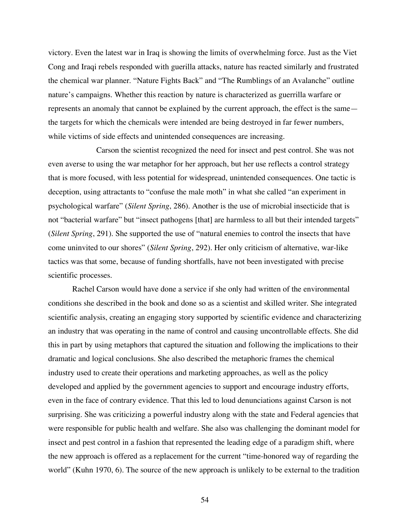victory. Even the latest war in Iraq is showing the limits of overwhelming force. Just as the Viet Cong and Iraqi rebels responded with guerilla attacks, nature has reacted similarly and frustrated the chemical war planner. "Nature Fights Back" and "The Rumblings of an Avalanche" outline nature's campaigns. Whether this reaction by nature is characterized as guerrilla warfare or represents an anomaly that cannot be explained by the current approach, the effect is the same the targets for which the chemicals were intended are being destroyed in far fewer numbers, while victims of side effects and unintended consequences are increasing.

Carson the scientist recognized the need for insect and pest control. She was not even averse to using the war metaphor for her approach, but her use reflects a control strategy that is more focused, with less potential for widespread, unintended consequences. One tactic is deception, using attractants to "confuse the male moth" in what she called "an experiment in psychological warfare" (*Silent Spring*, 286). Another is the use of microbial insecticide that is not "bacterial warfare" but "insect pathogens [that] are harmless to all but their intended targets" (*Silent Spring*, 291). She supported the use of "natural enemies to control the insects that have come uninvited to our shores" (*Silent Spring*, 292). Her only criticism of alternative, war-like tactics was that some, because of funding shortfalls, have not been investigated with precise scientific processes.

Rachel Carson would have done a service if she only had written of the environmental conditions she described in the book and done so as a scientist and skilled writer. She integrated scientific analysis, creating an engaging story supported by scientific evidence and characterizing an industry that was operating in the name of control and causing uncontrollable effects. She did this in part by using metaphors that captured the situation and following the implications to their dramatic and logical conclusions. She also described the metaphoric frames the chemical industry used to create their operations and marketing approaches, as well as the policy developed and applied by the government agencies to support and encourage industry efforts, even in the face of contrary evidence. That this led to loud denunciations against Carson is not surprising. She was criticizing a powerful industry along with the state and Federal agencies that were responsible for public health and welfare. She also was challenging the dominant model for insect and pest control in a fashion that represented the leading edge of a paradigm shift, where the new approach is offered as a replacement for the current "time-honored way of regarding the world" (Kuhn 1970, 6). The source of the new approach is unlikely to be external to the tradition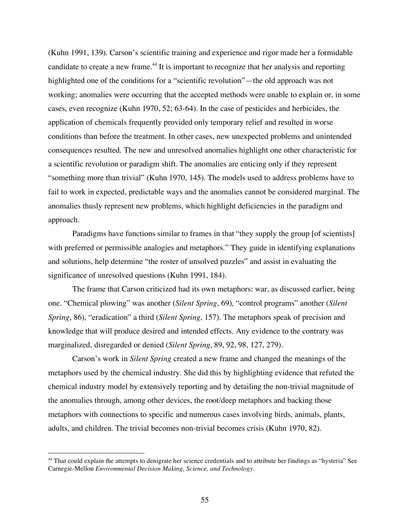(Kuhn 1991, 139). Carson's scientific training and experience and rigor made her a formidable candidate to create a new frame.<sup>44</sup> It is important to recognize that her analysis and reporting highlighted one of the conditions for a "scientific revolution"—the old approach was not working; anomalies were occurring that the accepted methods were unable to explain or, in some cases, even recognize (Kuhn 1970, 52; 63-64). In the case of pesticides and herbicides, the application of chemicals frequently provided only temporary relief and resulted in worse conditions than before the treatment. In other cases, new unexpected problems and unintended consequences resulted. The new and unresolved anomalies highlight one other characteristic for a scientific revolution or paradigm shift. The anomalies are enticing only if they represent "something more than trivial" (Kuhn 1970, 145). The models used to address problems have to fail to work in expected, predictable ways and the anomalies cannot be considered marginal. The anomalies thusly represent new problems, which highlight deficiencies in the paradigm and approach.

Paradigms have functions similar to frames in that "they supply the group [of scientists] with preferred or permissible analogies and metaphors." They guide in identifying explanations and solutions, help determine "the roster of unsolved puzzles" and assist in evaluating the significance of unresolved questions (Kuhn 1991, 184).

The frame that Carson criticized had its own metaphors: war, as discussed earlier, being one. "Chemical plowing" was another (*Silent Spring*, 69), "control programs" another (*Silent Spring*, 86), "eradication" a third (*Silent Spring*, 157). The metaphors speak of precision and knowledge that will produce desired and intended effects. Any evidence to the contrary was marginalized, disregarded or denied (*Silent Spring*, 89, 92, 98, 127, 279).

Carson's work in *Silent Spring* created a new frame and changed the meanings of the metaphors used by the chemical industry. She did this by highlighting evidence that refuted the chemical industry model by extensively reporting and by detailing the non-trivial magnitude of the anomalies through, among other devices, the root/deep metaphors and backing those metaphors with connections to specific and numerous cases involving birds, animals, plants, adults, and children. The trivial becomes non-trivial becomes crisis (Kuhn 1970, 82).

<sup>&</sup>lt;sup>44</sup> That could explain the attempts to denigrate her science credentials and to attribute her findings as "hysteria" See Carnegie-Mellon *Environmental Decision Making, Science, and Technology*.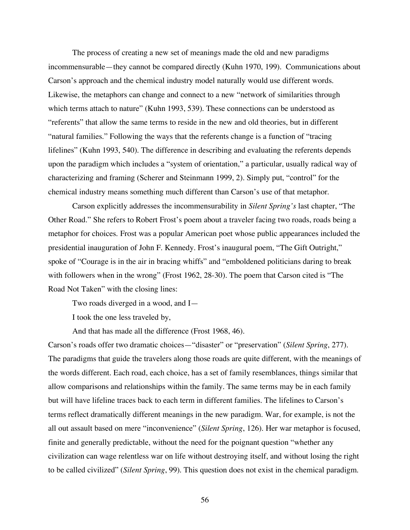The process of creating a new set of meanings made the old and new paradigms incommensurable—they cannot be compared directly (Kuhn 1970, 199). Communications about Carson's approach and the chemical industry model naturally would use different words. Likewise, the metaphors can change and connect to a new "network of similarities through which terms attach to nature" (Kuhn 1993, 539). These connections can be understood as "referents" that allow the same terms to reside in the new and old theories, but in different "natural families." Following the ways that the referents change is a function of "tracing lifelines" (Kuhn 1993, 540). The difference in describing and evaluating the referents depends upon the paradigm which includes a "system of orientation," a particular, usually radical way of characterizing and framing (Scherer and Steinmann 1999, 2). Simply put, "control" for the chemical industry means something much different than Carson's use of that metaphor.

Carson explicitly addresses the incommensurability in *Silent Spring's* last chapter, "The Other Road." She refers to Robert Frost's poem about a traveler facing two roads, roads being a metaphor for choices. Frost was a popular American poet whose public appearances included the presidential inauguration of John F. Kennedy. Frost's inaugural poem, "The Gift Outright," spoke of "Courage is in the air in bracing whiffs" and "emboldened politicians daring to break with followers when in the wrong" (Frost 1962, 28-30). The poem that Carson cited is "The Road Not Taken" with the closing lines:

Two roads diverged in a wood, and I—

I took the one less traveled by,

And that has made all the difference (Frost 1968, 46).

Carson's roads offer two dramatic choices—"disaster" or "preservation" (*Silent Spring*, 277). The paradigms that guide the travelers along those roads are quite different, with the meanings of the words different. Each road, each choice, has a set of family resemblances, things similar that allow comparisons and relationships within the family. The same terms may be in each family but will have lifeline traces back to each term in different families. The lifelines to Carson's terms reflect dramatically different meanings in the new paradigm. War, for example, is not the all out assault based on mere "inconvenience" (*Silent Spring*, 126). Her war metaphor is focused, finite and generally predictable, without the need for the poignant question "whether any civilization can wage relentless war on life without destroying itself, and without losing the right to be called civilized" (*Silent Spring*, 99). This question does not exist in the chemical paradigm.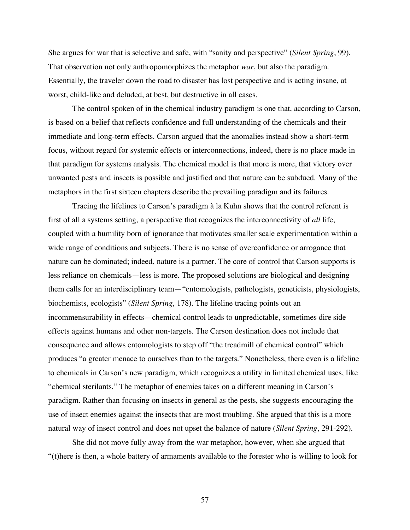She argues for war that is selective and safe, with "sanity and perspective" (*Silent Spring*, 99). That observation not only anthropomorphizes the metaphor *war*, but also the paradigm. Essentially, the traveler down the road to disaster has lost perspective and is acting insane, at worst, child-like and deluded, at best, but destructive in all cases.

The control spoken of in the chemical industry paradigm is one that, according to Carson, is based on a belief that reflects confidence and full understanding of the chemicals and their immediate and long-term effects. Carson argued that the anomalies instead show a short-term focus, without regard for systemic effects or interconnections, indeed, there is no place made in that paradigm for systems analysis. The chemical model is that more is more, that victory over unwanted pests and insects is possible and justified and that nature can be subdued. Many of the metaphors in the first sixteen chapters describe the prevailing paradigm and its failures.

Tracing the lifelines to Carson's paradigm à la Kuhn shows that the control referent is first of all a systems setting, a perspective that recognizes the interconnectivity of *all* life, coupled with a humility born of ignorance that motivates smaller scale experimentation within a wide range of conditions and subjects. There is no sense of overconfidence or arrogance that nature can be dominated; indeed, nature is a partner. The core of control that Carson supports is less reliance on chemicals—less is more. The proposed solutions are biological and designing them calls for an interdisciplinary team—"entomologists, pathologists, geneticists, physiologists, biochemists, ecologists" (*Silent Spring*, 178). The lifeline tracing points out an incommensurability in effects—chemical control leads to unpredictable, sometimes dire side effects against humans and other non-targets. The Carson destination does not include that consequence and allows entomologists to step off "the treadmill of chemical control" which produces "a greater menace to ourselves than to the targets." Nonetheless, there even is a lifeline to chemicals in Carson's new paradigm, which recognizes a utility in limited chemical uses, like "chemical sterilants." The metaphor of enemies takes on a different meaning in Carson's paradigm. Rather than focusing on insects in general as the pests, she suggests encouraging the use of insect enemies against the insects that are most troubling. She argued that this is a more natural way of insect control and does not upset the balance of nature (*Silent Spring*, 291-292).

She did not move fully away from the war metaphor, however, when she argued that "(t)here is then, a whole battery of armaments available to the forester who is willing to look for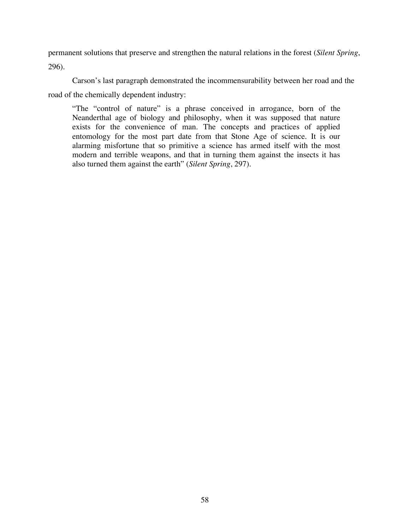permanent solutions that preserve and strengthen the natural relations in the forest (*Silent Spring*, 296).

Carson's last paragraph demonstrated the incommensurability between her road and the road of the chemically dependent industry:

"The "control of nature" is a phrase conceived in arrogance, born of the Neanderthal age of biology and philosophy, when it was supposed that nature exists for the convenience of man. The concepts and practices of applied entomology for the most part date from that Stone Age of science. It is our alarming misfortune that so primitive a science has armed itself with the most modern and terrible weapons, and that in turning them against the insects it has also turned them against the earth" (*Silent Spring*, 297).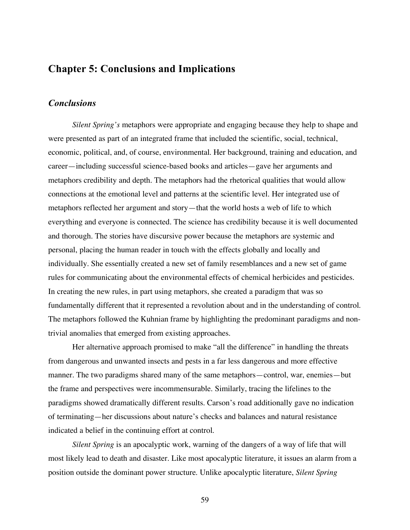# **Chapter 5: Conclusions and Implications**

## *Conclusions*

*Silent Spring's* metaphors were appropriate and engaging because they help to shape and were presented as part of an integrated frame that included the scientific, social, technical, economic, political, and, of course, environmental. Her background, training and education, and career—including successful science-based books and articles—gave her arguments and metaphors credibility and depth. The metaphors had the rhetorical qualities that would allow connections at the emotional level and patterns at the scientific level. Her integrated use of metaphors reflected her argument and story—that the world hosts a web of life to which everything and everyone is connected. The science has credibility because it is well documented and thorough. The stories have discursive power because the metaphors are systemic and personal, placing the human reader in touch with the effects globally and locally and individually. She essentially created a new set of family resemblances and a new set of game rules for communicating about the environmental effects of chemical herbicides and pesticides. In creating the new rules, in part using metaphors, she created a paradigm that was so fundamentally different that it represented a revolution about and in the understanding of control. The metaphors followed the Kuhnian frame by highlighting the predominant paradigms and nontrivial anomalies that emerged from existing approaches.

Her alternative approach promised to make "all the difference" in handling the threats from dangerous and unwanted insects and pests in a far less dangerous and more effective manner. The two paradigms shared many of the same metaphors—control, war, enemies—but the frame and perspectives were incommensurable. Similarly, tracing the lifelines to the paradigms showed dramatically different results. Carson's road additionally gave no indication of terminating—her discussions about nature's checks and balances and natural resistance indicated a belief in the continuing effort at control.

*Silent Spring* is an apocalyptic work, warning of the dangers of a way of life that will most likely lead to death and disaster. Like most apocalyptic literature, it issues an alarm from a position outside the dominant power structure. Unlike apocalyptic literature, *Silent Spring*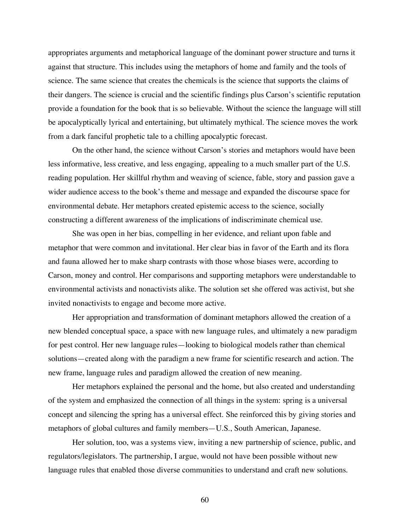appropriates arguments and metaphorical language of the dominant power structure and turns it against that structure. This includes using the metaphors of home and family and the tools of science. The same science that creates the chemicals is the science that supports the claims of their dangers. The science is crucial and the scientific findings plus Carson's scientific reputation provide a foundation for the book that is so believable. Without the science the language will still be apocalyptically lyrical and entertaining, but ultimately mythical. The science moves the work from a dark fanciful prophetic tale to a chilling apocalyptic forecast.

On the other hand, the science without Carson's stories and metaphors would have been less informative, less creative, and less engaging, appealing to a much smaller part of the U.S. reading population. Her skillful rhythm and weaving of science, fable, story and passion gave a wider audience access to the book's theme and message and expanded the discourse space for environmental debate. Her metaphors created epistemic access to the science, socially constructing a different awareness of the implications of indiscriminate chemical use.

She was open in her bias, compelling in her evidence, and reliant upon fable and metaphor that were common and invitational. Her clear bias in favor of the Earth and its flora and fauna allowed her to make sharp contrasts with those whose biases were, according to Carson, money and control. Her comparisons and supporting metaphors were understandable to environmental activists and nonactivists alike. The solution set she offered was activist, but she invited nonactivists to engage and become more active.

Her appropriation and transformation of dominant metaphors allowed the creation of a new blended conceptual space, a space with new language rules, and ultimately a new paradigm for pest control. Her new language rules—looking to biological models rather than chemical solutions—created along with the paradigm a new frame for scientific research and action. The new frame, language rules and paradigm allowed the creation of new meaning.

Her metaphors explained the personal and the home, but also created and understanding of the system and emphasized the connection of all things in the system: spring is a universal concept and silencing the spring has a universal effect. She reinforced this by giving stories and metaphors of global cultures and family members—U.S., South American, Japanese.

Her solution, too, was a systems view, inviting a new partnership of science, public, and regulators/legislators. The partnership, I argue, would not have been possible without new language rules that enabled those diverse communities to understand and craft new solutions.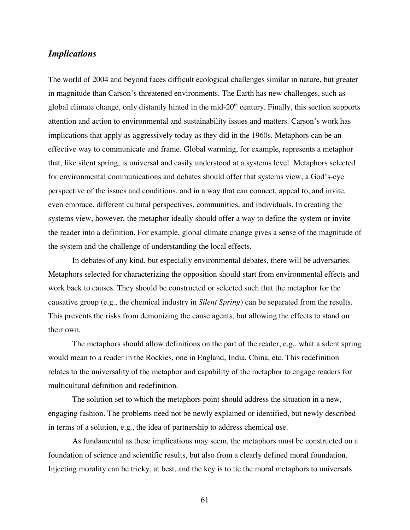### *Implications*

The world of 2004 and beyond faces difficult ecological challenges similar in nature, but greater in magnitude than Carson's threatened environments. The Earth has new challenges, such as global climate change, only distantly hinted in the mid- $20<sup>th</sup>$  century. Finally, this section supports attention and action to environmental and sustainability issues and matters. Carson's work has implications that apply as aggressively today as they did in the 1960s. Metaphors can be an effective way to communicate and frame. Global warming, for example, represents a metaphor that, like silent spring, is universal and easily understood at a systems level. Metaphors selected for environmental communications and debates should offer that systems view, a God's-eye perspective of the issues and conditions, and in a way that can connect, appeal to, and invite, even embrace, different cultural perspectives, communities, and individuals. In creating the systems view, however, the metaphor ideally should offer a way to define the system or invite the reader into a definition. For example, global climate change gives a sense of the magnitude of the system and the challenge of understanding the local effects.

In debates of any kind, but especially environmental debates, there will be adversaries. Metaphors selected for characterizing the opposition should start from environmental effects and work back to causes. They should be constructed or selected such that the metaphor for the causative group (e.g., the chemical industry in *Silent Spring*) can be separated from the results. This prevents the risks from demonizing the cause agents, but allowing the effects to stand on their own.

The metaphors should allow definitions on the part of the reader, e.g., what a silent spring would mean to a reader in the Rockies, one in England, India, China, etc. This redefinition relates to the universality of the metaphor and capability of the metaphor to engage readers for multicultural definition and redefinition.

The solution set to which the metaphors point should address the situation in a new, engaging fashion. The problems need not be newly explained or identified, but newly described in terms of a solution, e.g., the idea of partnership to address chemical use.

As fundamental as these implications may seem, the metaphors must be constructed on a foundation of science and scientific results, but also from a clearly defined moral foundation. Injecting morality can be tricky, at best, and the key is to tie the moral metaphors to universals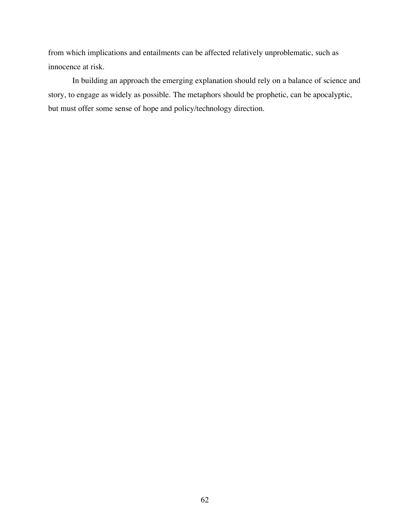from which implications and entailments can be affected relatively unproblematic, such as innocence at risk.

In building an approach the emerging explanation should rely on a balance of science and story, to engage as widely as possible. The metaphors should be prophetic, can be apocalyptic, but must offer some sense of hope and policy/technology direction.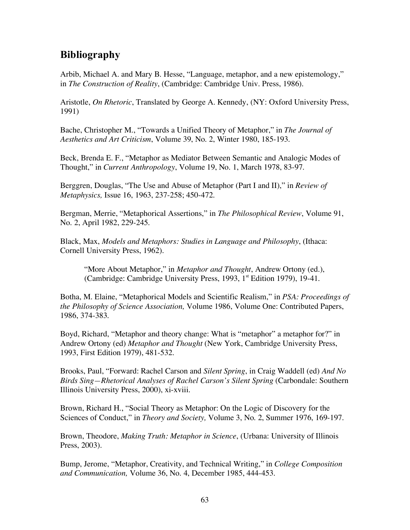# **Bibliography**

Arbib, Michael A. and Mary B. Hesse, "Language, metaphor, and a new epistemology," in *The Construction of Reality*, (Cambridge: Cambridge Univ. Press, 1986).

Aristotle, *On Rhetoric*, Translated by George A. Kennedy, (NY: Oxford University Press, 1991)

Bache, Christopher M., "Towards a Unified Theory of Metaphor," in *The Journal of Aesthetics and Art Criticism*, Volume 39, No. 2, Winter 1980, 185-193.

Beck, Brenda E. F., "Metaphor as Mediator Between Semantic and Analogic Modes of Thought," in *Current Anthropology*, Volume 19, No. 1, March 1978, 83-97.

Berggren, Douglas, "The Use and Abuse of Metaphor (Part I and II)," in *Review of Metaphysics,* Issue 16, 1963, 237-258; 450-472.

Bergman, Merrie, "Metaphorical Assertions," in *The Philosophical Review*, Volume 91, No. 2, April 1982, 229-245.

Black, Max, *Models and Metaphors: Studies in Language and Philosophy*, (Ithaca: Cornell University Press, 1962).

"More About Metaphor," in *Metaphor and Thought*, Andrew Ortony (ed.), (Cambridge: Cambridge University Press, 1993, 1st Edition 1979), 19-41.

Botha, M. Elaine, "Metaphorical Models and Scientific Realism," in *PSA: Proceedings of the Philosophy of Science Association,* Volume 1986, Volume One: Contributed Papers, 1986, 374-383.

Boyd, Richard, "Metaphor and theory change: What is "metaphor" a metaphor for?" in Andrew Ortony (ed) *Metaphor and Thought* (New York, Cambridge University Press, 1993, First Edition 1979), 481-532.

Brooks, Paul, "Forward: Rachel Carson and *Silent Spring*, in Craig Waddell (ed) *And No Birds Sing—Rhetorical Analyses of Rachel Carson's Silent Spring* (Carbondale: Southern Illinois University Press, 2000), xi-xviii.

Brown, Richard H., "Social Theory as Metaphor: On the Logic of Discovery for the Sciences of Conduct," in *Theory and Society,* Volume 3, No. 2, Summer 1976, 169-197.

Brown, Theodore, *Making Truth: Metaphor in Science*, (Urbana: University of Illinois Press, 2003).

Bump, Jerome, "Metaphor, Creativity, and Technical Writing," in *College Composition and Communication,* Volume 36, No. 4, December 1985, 444-453.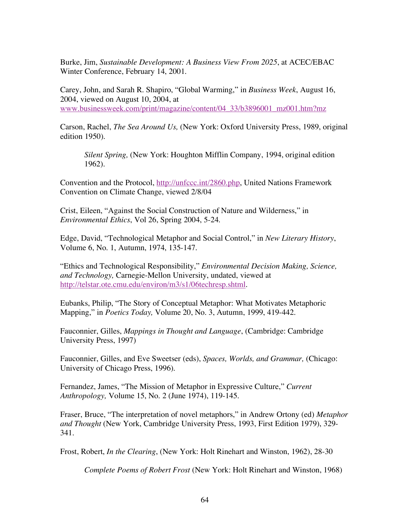Burke, Jim, *Sustainable Development: A Business View From 2025*, at ACEC/EBAC Winter Conference, February 14, 2001.

Carey, John, and Sarah R. Shapiro, "Global Warming," in *Business Week*, August 16, 2004, viewed on August 10, 2004, at www.businessweek.com/print/magazine/content/04\_33/b3896001\_mz001.htm?mz

Carson, Rachel, *The Sea Around Us,* (New York: Oxford University Press, 1989, original edition 1950).

*Silent Spring,* (New York: Houghton Mifflin Company, 1994, original edition 1962).

Convention and the Protocol, http://unfccc.int/2860.php, United Nations Framework Convention on Climate Change, viewed 2/8/04

Crist, Eileen, "Against the Social Construction of Nature and Wilderness," in *Environmental Ethics*, Vol 26, Spring 2004, 5-24.

Edge, David, "Technological Metaphor and Social Control," in *New Literary History*, Volume 6, No. 1, Autumn, 1974, 135-147.

"Ethics and Technological Responsibility," *Environmental Decision Making, Science, and Technology,* Carnegie-Mellon University, undated, viewed at http://telstar.ote.cmu.edu/environ/m3/s1/06techresp.shtml.

Eubanks, Philip, "The Story of Conceptual Metaphor: What Motivates Metaphoric Mapping," in *Poetics Today,* Volume 20, No. 3, Autumn, 1999, 419-442.

Fauconnier, Gilles, *Mappings in Thought and Language*, (Cambridge: Cambridge University Press, 1997)

Fauconnier, Gilles, and Eve Sweetser (eds), *Spaces, Worlds, and Grammar,* (Chicago: University of Chicago Press, 1996).

Fernandez, James, "The Mission of Metaphor in Expressive Culture," *Current Anthropology,* Volume 15, No. 2 (June 1974), 119-145.

Fraser, Bruce, "The interpretation of novel metaphors," in Andrew Ortony (ed) *Metaphor and Thought* (New York, Cambridge University Press, 1993, First Edition 1979), 329- 341.

Frost, Robert, *In the Clearing*, (New York: Holt Rinehart and Winston, 1962), 28-30

*Complete Poems of Robert Frost* (New York: Holt Rinehart and Winston, 1968)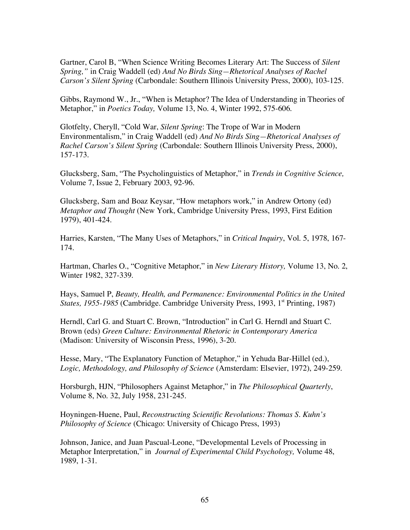Gartner, Carol B, "When Science Writing Becomes Literary Art: The Success of *Silent Spring,"* in Craig Waddell (ed) *And No Birds Sing—Rhetorical Analyses of Rachel Carson's Silent Spring* (Carbondale: Southern Illinois University Press, 2000), 103-125.

Gibbs, Raymond W., Jr., "When is Metaphor? The Idea of Understanding in Theories of Metaphor," in *Poetics Today,* Volume 13, No. 4, Winter 1992, 575-606.

Glotfelty, Cheryll, "Cold War, *Silent Spring*: The Trope of War in Modern Environmentalism," in Craig Waddell (ed) *And No Birds Sing—Rhetorical Analyses of Rachel Carson's Silent Spring* (Carbondale: Southern Illinois University Press, 2000), 157-173.

Glucksberg, Sam, "The Psycholinguistics of Metaphor," in *Trends in Cognitive Science,* Volume 7, Issue 2, February 2003, 92-96.

Glucksberg, Sam and Boaz Keysar, "How metaphors work," in Andrew Ortony (ed) *Metaphor and Thought* (New York, Cambridge University Press, 1993, First Edition 1979), 401-424.

Harries, Karsten, "The Many Uses of Metaphors," in *Critical Inquiry*, Vol. 5, 1978, 167- 174.

Hartman, Charles O., "Cognitive Metaphor," in *New Literary History,* Volume 13, No. 2, Winter 1982, 327-339.

Hays, Samuel P, *Beauty, Health, and Permanence: Environmental Politics in the United States, 1955-1985* (Cambridge. Cambridge University Press, 1993, 1<sup>st</sup> Printing, 1987)

Herndl, Carl G. and Stuart C. Brown, "Introduction" in Carl G. Herndl and Stuart C. Brown (eds) *Green Culture: Environmental Rhetoric in Contemporary America* (Madison: University of Wisconsin Press, 1996), 3-20.

Hesse, Mary, "The Explanatory Function of Metaphor," in Yehuda Bar-Hillel (ed.), *Logic, Methodology, and Philosophy of Science* (Amsterdam: Elsevier, 1972), 249-259.

Horsburgh, HJN, "Philosophers Against Metaphor," in *The Philosophical Quarterly*, Volume 8, No. 32, July 1958, 231-245.

Hoyningen-Huene, Paul, *Reconstructing Scientific Revolutions: Thomas S. Kuhn's Philosophy of Science* (Chicago: University of Chicago Press, 1993)

Johnson, Janice, and Juan Pascual-Leone, "Developmental Levels of Processing in Metaphor Interpretation," in *Journal of Experimental Child Psychology,* Volume 48, 1989, 1-31.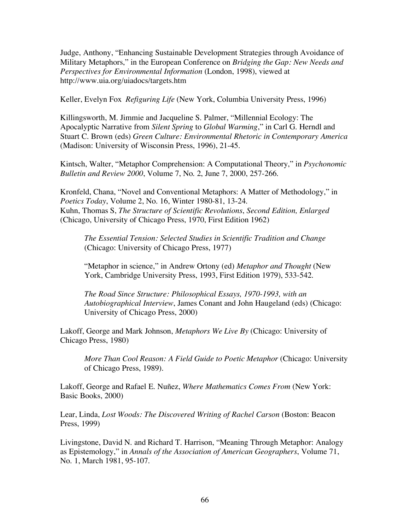Judge, Anthony, "Enhancing Sustainable Development Strategies through Avoidance of Military Metaphors," in the European Conference on *Bridging the Gap: New Needs and Perspectives for Environmental Information* (London, 1998), viewed at http://www.uia.org/uiadocs/targets.htm

Keller, Evelyn Fox *Refiguring Life* (New York, Columbia University Press, 1996)

Killingsworth, M. Jimmie and Jacqueline S. Palmer, "Millennial Ecology: The Apocalyptic Narrative from *Silent Spring* to *Global Warming*," in Carl G. Herndl and Stuart C. Brown (eds) *Green Culture: Environmental Rhetoric in Contemporary America* (Madison: University of Wisconsin Press, 1996), 21-45.

Kintsch, Walter, "Metaphor Comprehension: A Computational Theory," in *Psychonomic Bulletin and Review 2000*, Volume 7, No. 2, June 7, 2000, 257-266.

Kronfeld, Chana, "Novel and Conventional Metaphors: A Matter of Methodology," in *Poetics Today*, Volume 2, No. 16, Winter 1980-81, 13-24. Kuhn, Thomas S, *The Structure of Scientific Revolutions*, *Second Edition, Enlarged* (Chicago, University of Chicago Press, 1970, First Edition 1962)

*The Essential Tension: Selected Studies in Scientific Tradition and Change* (Chicago: University of Chicago Press, 1977)

"Metaphor in science," in Andrew Ortony (ed) *Metaphor and Thought* (New York, Cambridge University Press, 1993, First Edition 1979), 533-542.

*The Road Since Structure: Philosophical Essays, 1970-1993, with an Autobiographical Interview*, James Conant and John Haugeland (eds) (Chicago: University of Chicago Press, 2000)

Lakoff, George and Mark Johnson, *Metaphors We Live By* (Chicago: University of Chicago Press, 1980)

*More Than Cool Reason: A Field Guide to Poetic Metaphor* (Chicago: University of Chicago Press, 1989).

Lakoff, George and Rafael E. Nuñez, *Where Mathematics Comes From* (New York: Basic Books, 2000)

Lear, Linda, *Lost Woods: The Discovered Writing of Rachel Carson* (Boston: Beacon Press, 1999)

Livingstone, David N. and Richard T. Harrison, "Meaning Through Metaphor: Analogy as Epistemology," in *Annals of the Association of American Geographers*, Volume 71, No. 1, March 1981, 95-107.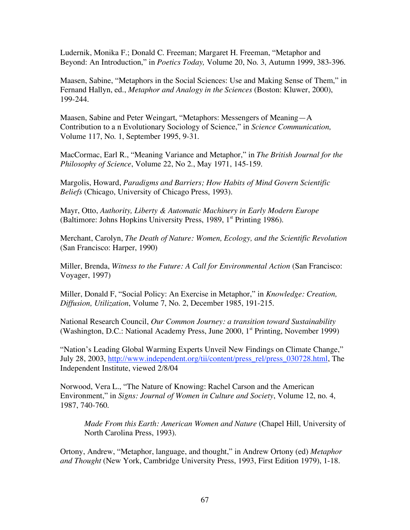Ludernik, Monika F.; Donald C. Freeman; Margaret H. Freeman, "Metaphor and Beyond: An Introduction," in *Poetics Today,* Volume 20, No. 3, Autumn 1999, 383-396.

Maasen, Sabine, "Metaphors in the Social Sciences: Use and Making Sense of Them," in Fernand Hallyn, ed., *Metaphor and Analogy in the Sciences* (Boston: Kluwer, 2000), 199-244.

Maasen, Sabine and Peter Weingart, "Metaphors: Messengers of Meaning—A Contribution to a n Evolutionary Sociology of Science," in *Science Communication,* Volume 117, No. 1, September 1995, 9-31.

MacCormac, Earl R., "Meaning Variance and Metaphor," in *The British Journal for the Philosophy of Science*, Volume 22, No 2., May 1971, 145-159.

Margolis, Howard, *Paradigms and Barriers; How Habits of Mind Govern Scientific Beliefs* (Chicago, University of Chicago Press, 1993).

Mayr, Otto, *Authority, Liberty & Automatic Machinery in Early Modern Europe* (Baltimore: Johns Hopkins University Press, 1989, 1st Printing 1986).

Merchant, Carolyn, *The Death of Nature: Women, Ecology, and the Scientific Revolution* (San Francisco: Harper, 1990)

Miller, Brenda, *Witness to the Future: A Call for Environmental Action* (San Francisco: Voyager, 1997)

Miller, Donald F, "Social Policy: An Exercise in Metaphor," in *Knowledge: Creation, Diffusion, Utilization*, Volume 7, No. 2, December 1985, 191-215.

National Research Council, *Our Common Journey: a transition toward Sustainability* (Washington, D.C.: National Academy Press, June 2000, 1st Printing, November 1999)

"Nation's Leading Global Warming Experts Unveil New Findings on Climate Change," July 28, 2003, http://www.independent.org/tii/content/press\_rel/press\_030728.html, The Independent Institute, viewed 2/8/04

Norwood, Vera L., "The Nature of Knowing: Rachel Carson and the American Environment," in *Signs: Journal of Women in Culture and Society*, Volume 12, no. 4, 1987, 740-760.

*Made From this Earth: American Women and Nature* (Chapel Hill, University of North Carolina Press, 1993).

Ortony, Andrew, "Metaphor, language, and thought," in Andrew Ortony (ed) *Metaphor and Thought* (New York, Cambridge University Press, 1993, First Edition 1979), 1-18.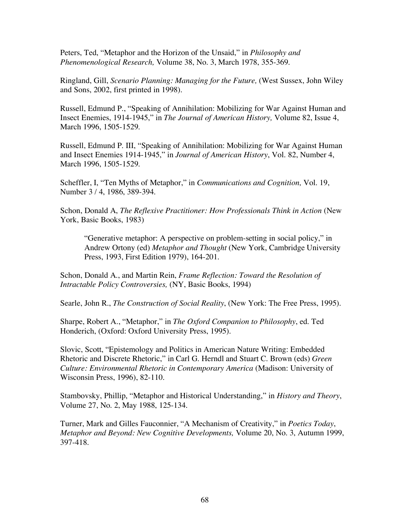Peters, Ted, "Metaphor and the Horizon of the Unsaid," in *Philosophy and Phenomenological Research,* Volume 38, No. 3, March 1978, 355-369.

Ringland, Gill, *Scenario Planning: Managing for the Future,* (West Sussex, John Wiley and Sons, 2002, first printed in 1998).

Russell, Edmund P., "Speaking of Annihilation: Mobilizing for War Against Human and Insect Enemies, 1914-1945," in *The Journal of American History,* Volume 82, Issue 4, March 1996, 1505-1529.

Russell, Edmund P. III, "Speaking of Annihilation: Mobilizing for War Against Human and Insect Enemies 1914-1945," in *Journal of American History*, Vol. 82, Number 4, March 1996, 1505-1529.

Scheffler, I, "Ten Myths of Metaphor," in *Communications and Cognition,* Vol. 19, Number 3 / 4, 1986, 389-394.

Schon, Donald A, *The Reflexive Practitioner: How Professionals Think in Action* (New York, Basic Books, 1983)

"Generative metaphor: A perspective on problem-setting in social policy," in Andrew Ortony (ed) *Metaphor and Thought* (New York, Cambridge University Press, 1993, First Edition 1979), 164-201.

Schon, Donald A., and Martin Rein, *Frame Reflection: Toward the Resolution of Intractable Policy Controversies,* (NY, Basic Books, 1994)

Searle, John R., *The Construction of Social Reality*, (New York: The Free Press, 1995).

Sharpe, Robert A., "Metaphor," in *The Oxford Companion to Philosophy*, ed. Ted Honderich, (Oxford: Oxford University Press, 1995).

Slovic, Scott, "Epistemology and Politics in American Nature Writing: Embedded Rhetoric and Discrete Rhetoric," in Carl G. Herndl and Stuart C. Brown (eds) *Green Culture: Environmental Rhetoric in Contemporary America* (Madison: University of Wisconsin Press, 1996), 82-110.

Stambovsky, Phillip, "Metaphor and Historical Understanding," in *History and Theory*, Volume 27, No. 2, May 1988, 125-134.

Turner, Mark and Gilles Fauconnier, "A Mechanism of Creativity," in *Poetics Today*, *Metaphor and Beyond: New Cognitive Developments,* Volume 20, No. 3, Autumn 1999, 397-418.